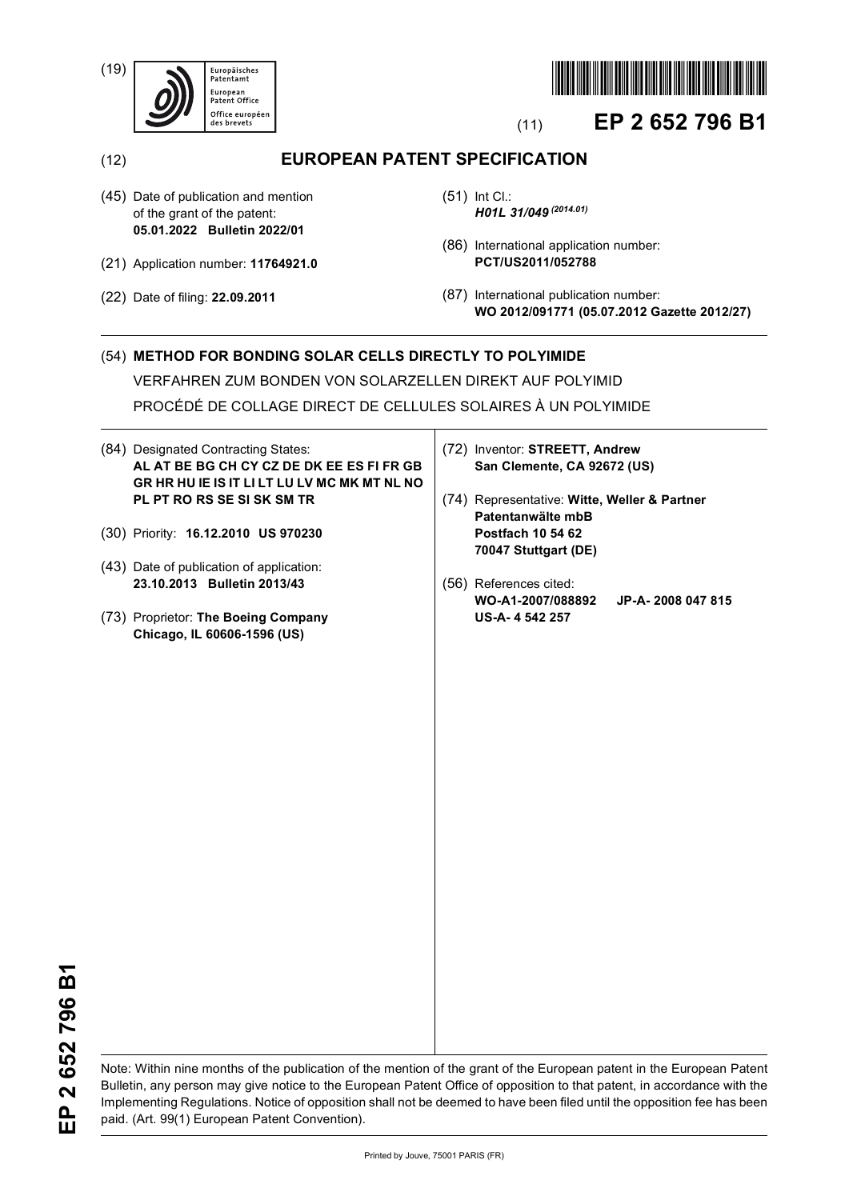(19)





# (11) **EP 2 652 796 B1**

(12) **EUROPEAN PATENT SPECIFICATION**

- (45) Date of publication and mention of the grant of the patent: **05.01.2022 Bulletin 2022/01**
- (21) Application number: **11764921.0**
- (22) Date of filing: **22.09.2011**
- (51) Int Cl.: *H01L 31/049 (2014.01)*
- (86) International application number: **PCT/US2011/052788**
- (87) International publication number: **WO 2012/091771 (05.07.2012 Gazette 2012/27)**

## (54) **METHOD FOR BONDING SOLAR CELLS DIRECTLY TO POLYIMIDE**

VERFAHREN ZUM BONDEN VON SOLARZELLEN DIREKT AUF POLYIMID

PROCÉDÉ DE COLLAGE DIRECT DE CELLULES SOLAIRES À UN POLYIMIDE

- (84) Designated Contracting States: **AL AT BE BG CH CY CZ DE DK EE ES FI FR GB GR HR HU IE IS IT LI LT LU LV MC MK MT NL NO PL PT RO RS SE SI SK SM TR**
- (30) Priority: **16.12.2010 US 970230**
- (43) Date of publication of application: **23.10.2013 Bulletin 2013/43**
- (73) Proprietor: **The Boeing Company Chicago, IL 60606-1596 (US)**
- (72) Inventor: **STREETT, Andrew San Clemente, CA 92672 (US)**
- (74) Representative: **Witte, Weller & Partner Patentanwälte mbB Postfach 10 54 62 70047 Stuttgart (DE)**
- (56) References cited: **WO-A1-2007/088892 JP-A- 2008 047 815 US-A- 4 542 257**

Note: Within nine months of the publication of the mention of the grant of the European patent in the European Patent Bulletin, any person may give notice to the European Patent Office of opposition to that patent, in accordance with the Implementing Regulations. Notice of opposition shall not be deemed to have been filed until the opposition fee has been paid. (Art. 99(1) European Patent Convention).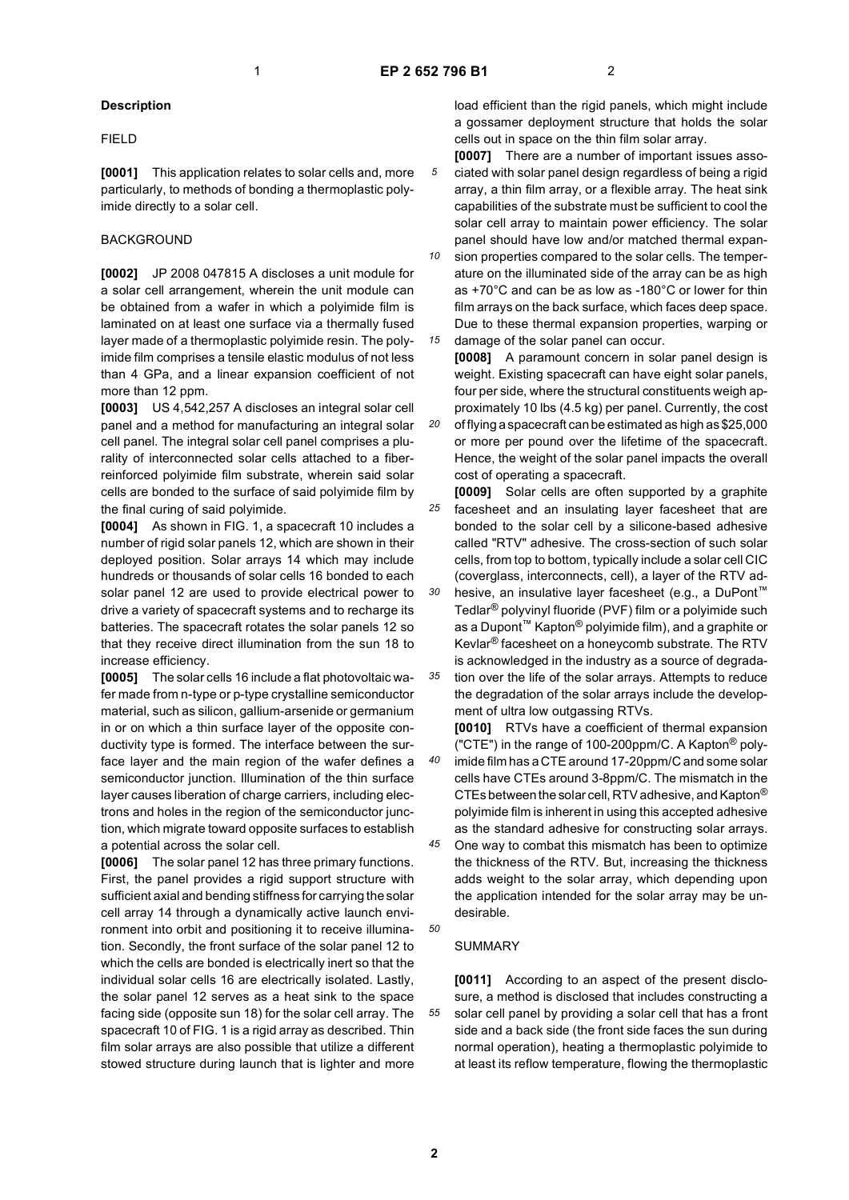*20*

*40*

*50*

*55*

## **Description**

#### FIELD

**[0001]** This application relates to solar cells and, more particularly, to methods of bonding a thermoplastic polyimide directly to a solar cell.

## BACKGROUND

**[0002]** JP 2008 047815 A discloses a unit module for a solar cell arrangement, wherein the unit module can be obtained from a wafer in which a polyimide film is laminated on at least one surface via a thermally fused layer made of a thermoplastic polyimide resin. The polyimide film comprises a tensile elastic modulus of not less than 4 GPa, and a linear expansion coefficient of not more than 12 ppm.

**[0003]** US 4,542,257 A discloses an integral solar cell panel and a method for manufacturing an integral solar cell panel. The integral solar cell panel comprises a plurality of interconnected solar cells attached to a fiberreinforced polyimide film substrate, wherein said solar cells are bonded to the surface of said polyimide film by the final curing of said polyimide.

**[0004]** As shown in FIG. 1, a spacecraft 10 includes a number of rigid solar panels 12, which are shown in their deployed position. Solar arrays 14 which may include hundreds or thousands of solar cells 16 bonded to each solar panel 12 are used to provide electrical power to drive a variety of spacecraft systems and to recharge its batteries. The spacecraft rotates the solar panels 12 so that they receive direct illumination from the sun 18 to increase efficiency.

**[0005]** The solar cells 16 include a flat photovoltaic wafer made from n-type or p-type crystalline semiconductor material, such as silicon, gallium-arsenide or germanium in or on which a thin surface layer of the opposite conductivity type is formed. The interface between the surface layer and the main region of the wafer defines a semiconductor junction. Illumination of the thin surface layer causes liberation of charge carriers, including electrons and holes in the region of the semiconductor junction, which migrate toward opposite surfaces to establish a potential across the solar cell.

**[0006]** The solar panel 12 has three primary functions. First, the panel provides a rigid support structure with sufficient axial and bending stiffness for carrying the solar cell array 14 through a dynamically active launch environment into orbit and positioning it to receive illumination. Secondly, the front surface of the solar panel 12 to which the cells are bonded is electrically inert so that the individual solar cells 16 are electrically isolated. Lastly, the solar panel 12 serves as a heat sink to the space facing side (opposite sun 18) for the solar cell array. The spacecraft 10 of FIG. 1 is a rigid array as described. Thin film solar arrays are also possible that utilize a different stowed structure during launch that is lighter and more

load efficient than the rigid panels, which might include a gossamer deployment structure that holds the solar cells out in space on the thin film solar array.

**[0007]** There are a number of important issues associated with solar panel design regardless of being a rigid array, a thin film array, or a flexible array. The heat sink capabilities of the substrate must be sufficient to cool the solar cell array to maintain power efficiency. The solar panel should have low and/or matched thermal expan-

*10 15* sion properties compared to the solar cells. The temperature on the illuminated side of the array can be as high as +70°C and can be as low as -180°C or lower for thin film arrays on the back surface, which faces deep space. Due to these thermal expansion properties, warping or damage of the solar panel can occur.

**[0008]** A paramount concern in solar panel design is weight. Existing spacecraft can have eight solar panels, four per side, where the structural constituents weigh approximately 10 lbs (4.5 kg) per panel. Currently, the cost of flying a spacecraft can be estimated as high as \$25,000 or more per pound over the lifetime of the spacecraft. Hence, the weight of the solar panel impacts the overall

*25* cost of operating a spacecraft. **[0009]** Solar cells are often supported by a graphite facesheet and an insulating layer facesheet that are bonded to the solar cell by a silicone-based adhesive called "RTV" adhesive. The cross-section of such solar cells, from top to bottom, typically include a solar cell CIC (coverglass, interconnects, cell), a layer of the RTV ad-

*30 35* hesive, an insulative layer facesheet (e.g., a DuPont™ Tedlar® polyvinyl fluoride (PVF) film or a polyimide such as a Dupont™ Kapton® polyimide film), and a graphite or Kevlar® facesheet on a honeycomb substrate. The RTV is acknowledged in the industry as a source of degradation over the life of the solar arrays. Attempts to reduce the degradation of the solar arrays include the develop-

ment of ultra low outgassing RTVs. **[0010]** RTVs have a coefficient of thermal expansion ("CTE") in the range of 100-200ppm/C. A Kapton<sup>®</sup> polyimide film has a CTE around 17-20ppm/C and some solar cells have CTEs around 3-8ppm/C. The mismatch in the CTEs between the solar cell, RTV adhesive, and Kapton® polyimide film is inherent in using this accepted adhesive as the standard adhesive for constructing solar arrays.

*45* One way to combat this mismatch has been to optimize the thickness of the RTV. But, increasing the thickness adds weight to the solar array, which depending upon the application intended for the solar array may be undesirable.

#### SUMMARY

**[0011]** According to an aspect of the present disclosure, a method is disclosed that includes constructing a solar cell panel by providing a solar cell that has a front side and a back side (the front side faces the sun during normal operation), heating a thermoplastic polyimide to at least its reflow temperature, flowing the thermoplastic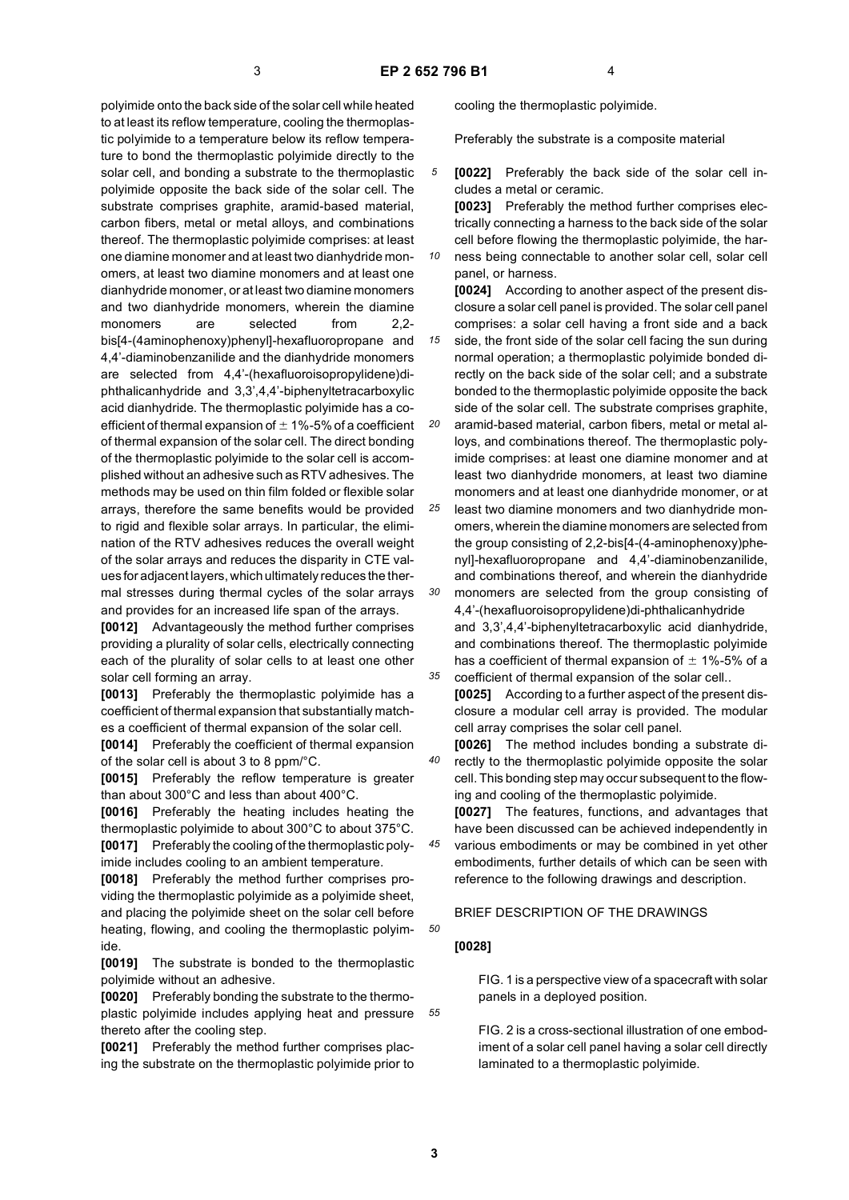polyimide onto the back side of the solar cell while heated to at least its reflow temperature, cooling the thermoplastic polyimide to a temperature below its reflow temperature to bond the thermoplastic polyimide directly to the solar cell, and bonding a substrate to the thermoplastic polyimide opposite the back side of the solar cell. The substrate comprises graphite, aramid-based material, carbon fibers, metal or metal alloys, and combinations thereof. The thermoplastic polyimide comprises: at least one diamine monomer and at least two dianhydride monomers, at least two diamine monomers and at least one dianhydride monomer, or at least two diamine monomers and two dianhydride monomers, wherein the diamine monomers are selected from 2.2bis[4-(4aminophenoxy)phenyl]-hexafluoropropane and 4,4'-diaminobenzanilide and the dianhydride monomers are selected from 4,4'-(hexafluoroisopropylidene)diphthalicanhydride and 3,3',4,4'-biphenyltetracarboxylic acid dianhydride. The thermoplastic polyimide has a coefficient of thermal expansion of  $\pm$  1%-5% of a coefficient of thermal expansion of the solar cell. The direct bonding of the thermoplastic polyimide to the solar cell is accomplished without an adhesive such as RTV adhesives. The methods may be used on thin film folded or flexible solar arrays, therefore the same benefits would be provided to rigid and flexible solar arrays. In particular, the elimination of the RTV adhesives reduces the overall weight of the solar arrays and reduces the disparity in CTE values for adjacent layers, which ultimately reduces the thermal stresses during thermal cycles of the solar arrays and provides for an increased life span of the arrays.

**[0012]** Advantageously the method further comprises providing a plurality of solar cells, electrically connecting each of the plurality of solar cells to at least one other solar cell forming an array.

**[0013]** Preferably the thermoplastic polyimide has a coefficient of thermal expansion that substantially matches a coefficient of thermal expansion of the solar cell.

**[0014]** Preferably the coefficient of thermal expansion of the solar cell is about 3 to 8 ppm/°C.

**[0015]** Preferably the reflow temperature is greater than about 300°C and less than about 400°C.

**[0016]** Preferably the heating includes heating the thermoplastic polyimide to about 300°C to about 375°C. **[0017]** Preferably the cooling of the thermoplastic polyimide includes cooling to an ambient temperature.

**[0018]** Preferably the method further comprises providing the thermoplastic polyimide as a polyimide sheet, and placing the polyimide sheet on the solar cell before heating, flowing, and cooling the thermoplastic polyimide.

**[0019]** The substrate is bonded to the thermoplastic polyimide without an adhesive.

**[0020]** Preferably bonding the substrate to the thermoplastic polyimide includes applying heat and pressure thereto after the cooling step.

**[0021]** Preferably the method further comprises placing the substrate on the thermoplastic polyimide prior to cooling the thermoplastic polyimide.

Preferably the substrate is a composite material

*5* **[0022]** Preferably the back side of the solar cell includes a metal or ceramic.

**[0023]** Preferably the method further comprises electrically connecting a harness to the back side of the solar cell before flowing the thermoplastic polyimide, the har-

*10* ness being connectable to another solar cell, solar cell panel, or harness.

**[0024]** According to another aspect of the present disclosure a solar cell panel is provided. The solar cell panel comprises: a solar cell having a front side and a back

*15* side, the front side of the solar cell facing the sun during normal operation; a thermoplastic polyimide bonded directly on the back side of the solar cell; and a substrate bonded to the thermoplastic polyimide opposite the back side of the solar cell. The substrate comprises graphite,

*20* aramid-based material, carbon fibers, metal or metal alloys, and combinations thereof. The thermoplastic polyimide comprises: at least one diamine monomer and at least two dianhydride monomers, at least two diamine monomers and at least one dianhydride monomer, or at

*25 30* least two diamine monomers and two dianhydride monomers, wherein the diamine monomers are selected from the group consisting of 2,2-bis[4-(4-aminophenoxy)phenyl]-hexafluoropropane and 4,4'-diaminobenzanilide, and combinations thereof, and wherein the dianhydride monomers are selected from the group consisting of

*35* 4,4'-(hexafluoroisopropylidene)di-phthalicanhydride and 3,3',4,4'-biphenyltetracarboxylic acid dianhydride, and combinations thereof. The thermoplastic polyimide has a coefficient of thermal expansion of  $\pm$  1%-5% of a coefficient of thermal expansion of the solar cell..

**[0025]** According to a further aspect of the present disclosure a modular cell array is provided. The modular cell array comprises the solar cell panel.

**[0026]** The method includes bonding a substrate directly to the thermoplastic polyimide opposite the solar cell. This bonding step may occur subsequent to the flowing and cooling of the thermoplastic polyimide.

**[0027]** The features, functions, and advantages that have been discussed can be achieved independently in various embodiments or may be combined in yet other embodiments, further details of which can be seen with reference to the following drawings and description.

## BRIEF DESCRIPTION OF THE DRAWINGS

#### **[0028]**

*40*

*45*

*50*

*55*

FIG. 1 is a perspective view of a spacecraft with solar panels in a deployed position.

FIG. 2 is a cross-sectional illustration of one embodiment of a solar cell panel having a solar cell directly laminated to a thermoplastic polyimide.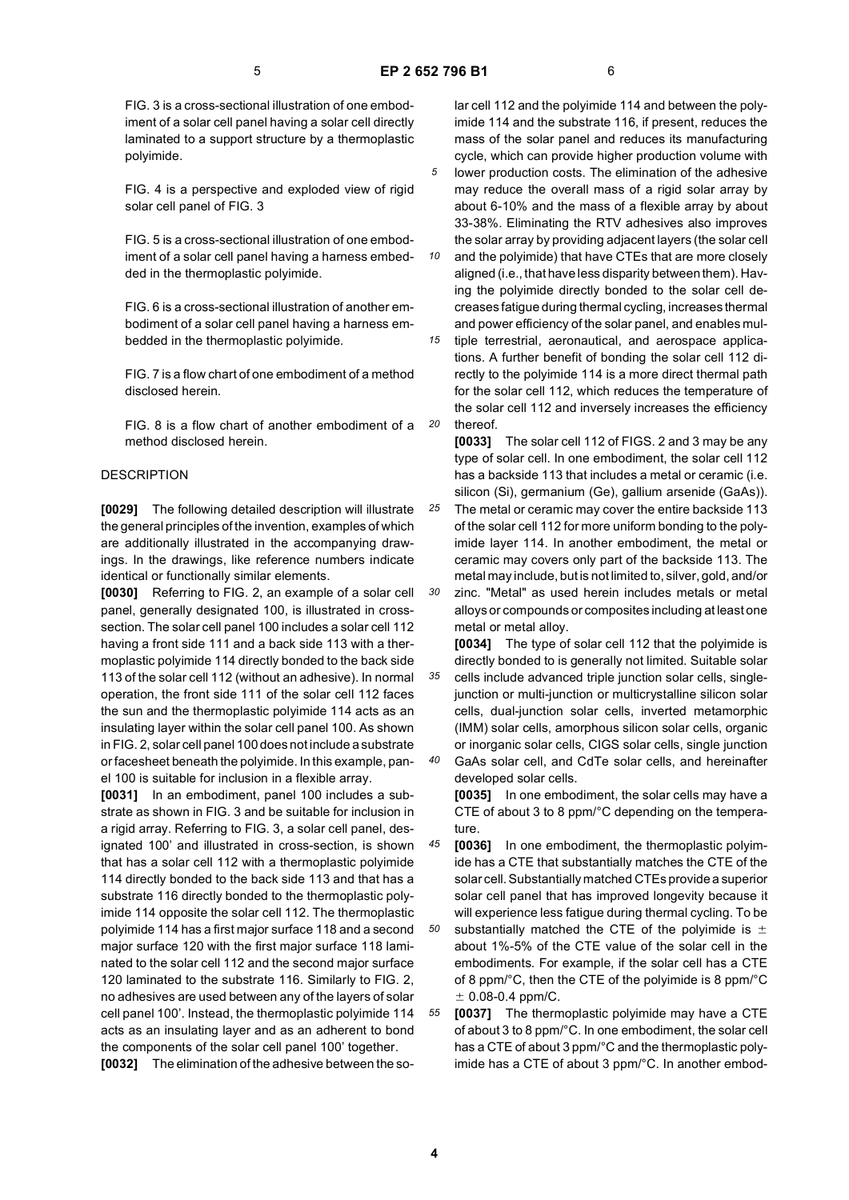FIG. 3 is a cross-sectional illustration of one embodiment of a solar cell panel having a solar cell directly laminated to a support structure by a thermoplastic polyimide.

FIG. 4 is a perspective and exploded view of rigid solar cell panel of FIG. 3

FIG. 5 is a cross-sectional illustration of one embodiment of a solar cell panel having a harness embedded in the thermoplastic polyimide.

FIG. 6 is a cross-sectional illustration of another embodiment of a solar cell panel having a harness embedded in the thermoplastic polyimide.

FIG. 7 is a flow chart of one embodiment of a method disclosed herein.

FIG. 8 is a flow chart of another embodiment of a method disclosed herein.

## DESCRIPTION

**[0029]** The following detailed description will illustrate the general principles of the invention, examples of which are additionally illustrated in the accompanying drawings. In the drawings, like reference numbers indicate identical or functionally similar elements.

**[0030]** Referring to FIG. 2, an example of a solar cell panel, generally designated 100, is illustrated in crosssection. The solar cell panel 100 includes a solar cell 112 having a front side 111 and a back side 113 with a thermoplastic polyimide 114 directly bonded to the back side 113 of the solar cell 112 (without an adhesive). In normal operation, the front side 111 of the solar cell 112 faces the sun and the thermoplastic polyimide 114 acts as an insulating layer within the solar cell panel 100. As shown in FIG. 2, solar cell panel 100 does not include a substrate or facesheet beneath the polyimide. In this example, panel 100 is suitable for inclusion in a flexible array.

**[0031]** In an embodiment, panel 100 includes a substrate as shown in FIG. 3 and be suitable for inclusion in a rigid array. Referring to FIG. 3, a solar cell panel, designated 100' and illustrated in cross-section, is shown that has a solar cell 112 with a thermoplastic polyimide 114 directly bonded to the back side 113 and that has a substrate 116 directly bonded to the thermoplastic polyimide 114 opposite the solar cell 112. The thermoplastic polyimide 114 has a first major surface 118 and a second major surface 120 with the first major surface 118 laminated to the solar cell 112 and the second major surface 120 laminated to the substrate 116. Similarly to FIG. 2, no adhesives are used between any of the layers of solar cell panel 100'. Instead, the thermoplastic polyimide 114 acts as an insulating layer and as an adherent to bond the components of the solar cell panel 100' together. **[0032]** The elimination of the adhesive between the solar cell 112 and the polyimide 114 and between the polyimide 114 and the substrate 116, if present, reduces the mass of the solar panel and reduces its manufacturing cycle, which can provide higher production volume with lower production costs. The elimination of the adhesive

may reduce the overall mass of a rigid solar array by about 6-10% and the mass of a flexible array by about 33-38%. Eliminating the RTV adhesives also improves the solar array by providing adjacent layers (the solar cell

*10 15* and the polyimide) that have CTEs that are more closely aligned (i.e., that have less disparity between them). Having the polyimide directly bonded to the solar cell decreases fatigue during thermal cycling, increases thermal and power efficiency of the solar panel, and enables mul-

*20* tiple terrestrial, aeronautical, and aerospace applications. A further benefit of bonding the solar cell 112 directly to the polyimide 114 is a more direct thermal path for the solar cell 112, which reduces the temperature of the solar cell 112 and inversely increases the efficiency thereof.

**[0033]** The solar cell 112 of FIGS. 2 and 3 may be any type of solar cell. In one embodiment, the solar cell 112 has a backside 113 that includes a metal or ceramic (i.e. silicon (Si), germanium (Ge), gallium arsenide (GaAs)).

*25* The metal or ceramic may cover the entire backside 113 of the solar cell 112 for more uniform bonding to the polyimide layer 114. In another embodiment, the metal or ceramic may covers only part of the backside 113. The metal may include, but is not limited to, silver, gold, and/or

*30* zinc. "Metal" as used herein includes metals or metal alloys or compounds or composites including at least one metal or metal alloy.

*35* **[0034]** The type of solar cell 112 that the polyimide is directly bonded to is generally not limited. Suitable solar cells include advanced triple junction solar cells, singlejunction or multi-junction or multicrystalline silicon solar cells, dual-junction solar cells, inverted metamorphic (IMM) solar cells, amorphous silicon solar cells, organic or inorganic solar cells, CIGS solar cells, single junction

*40* GaAs solar cell, and CdTe solar cells, and hereinafter developed solar cells. **[0035]** In one embodiment, the solar cells may have a CTE of about 3 to 8 ppm/°C depending on the tempera-

*45* ture. **[0036]** In one embodiment, the thermoplastic polyimide has a CTE that substantially matches the CTE of the solar cell. Substantially matched CTEs provide a superior solar cell panel that has improved longevity because it

*50* will experience less fatigue during thermal cycling. To be substantially matched the CTE of the polyimide is  $\pm$ about 1%-5% of the CTE value of the solar cell in the embodiments. For example, if the solar cell has a CTE of 8 ppm/°C, then the CTE of the polyimide is 8 ppm/°C  $± 0.08-0.4$  ppm/C.

*55* **[0037]** The thermoplastic polyimide may have a CTE of about 3 to 8 ppm/°C. In one embodiment, the solar cell has a CTE of about 3 ppm/°C and the thermoplastic polyimide has a CTE of about 3 ppm/°C. In another embod-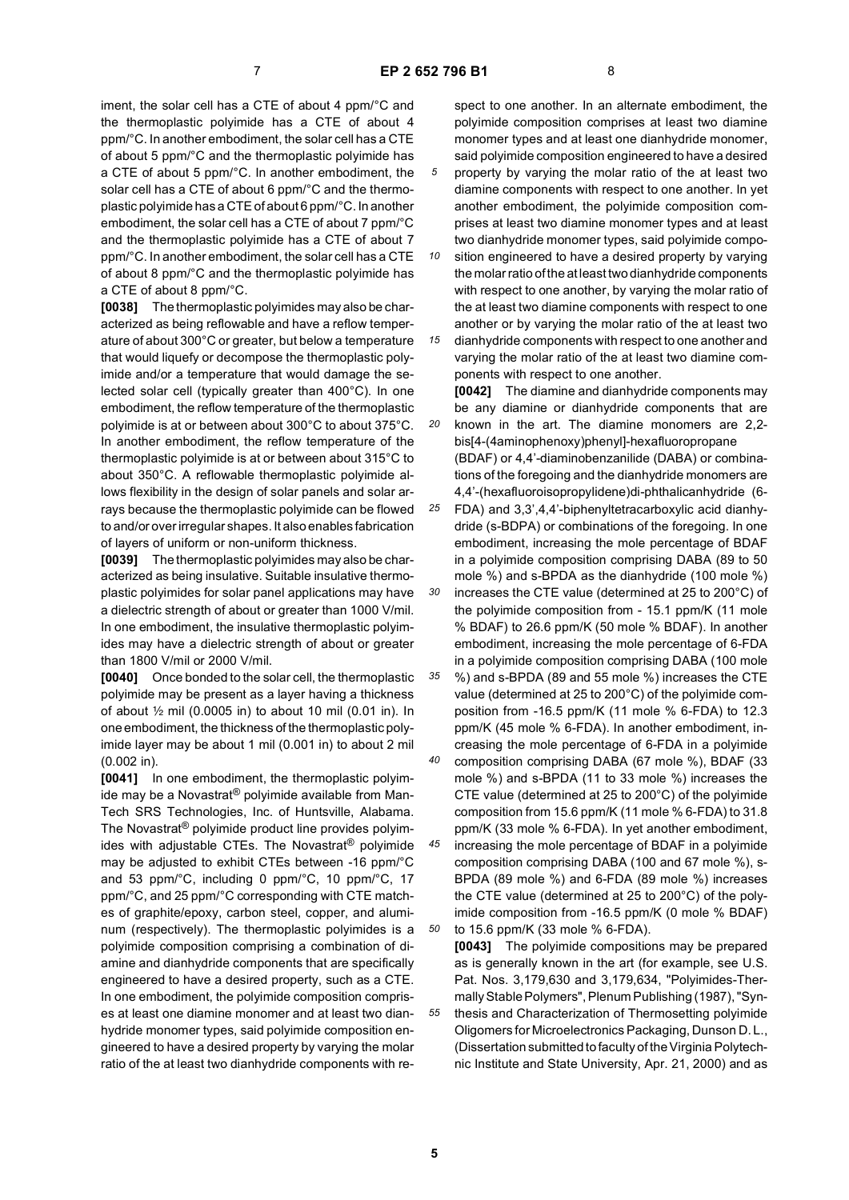iment, the solar cell has a CTE of about 4 ppm/°C and the thermoplastic polyimide has a CTE of about 4 ppm/°C. In another embodiment, the solar cell has a CTE of about 5 ppm/°C and the thermoplastic polyimide has a CTE of about 5 ppm/°C. In another embodiment, the solar cell has a CTE of about 6 ppm/°C and the thermoplastic polyimide has a CTE of about 6 ppm/°C. In another embodiment, the solar cell has a CTE of about 7 ppm/°C and the thermoplastic polyimide has a CTE of about 7 ppm/°C. In another embodiment, the solar cell has a CTE of about 8 ppm/°C and the thermoplastic polyimide has a CTE of about 8 ppm/°C.

**[0038]** The thermoplastic polyimides may also be characterized as being reflowable and have a reflow temperature of about 300°C or greater, but below a temperature that would liquefy or decompose the thermoplastic polyimide and/or a temperature that would damage the selected solar cell (typically greater than 400°C). In one embodiment, the reflow temperature of the thermoplastic polyimide is at or between about 300°C to about 375°C. In another embodiment, the reflow temperature of the thermoplastic polyimide is at or between about 315°C to about 350°C. A reflowable thermoplastic polyimide allows flexibility in the design of solar panels and solar arrays because the thermoplastic polyimide can be flowed to and/or over irregular shapes. It also enables fabrication of layers of uniform or non-uniform thickness.

**[0039]** The thermoplastic polyimides may also be characterized as being insulative. Suitable insulative thermoplastic polyimides for solar panel applications may have a dielectric strength of about or greater than 1000 V/mil. In one embodiment, the insulative thermoplastic polyimides may have a dielectric strength of about or greater than 1800 V/mil or 2000 V/mil.

**[0040]** Once bonded to the solar cell, the thermoplastic polyimide may be present as a layer having a thickness of about  $\frac{1}{2}$  mil (0.0005 in) to about 10 mil (0.01 in). In one embodiment, the thickness of the thermoplastic polyimide layer may be about 1 mil (0.001 in) to about 2 mil (0.002 in).

**[0041]** In one embodiment, the thermoplastic polyimide may be a Novastrat® polyimide available from Man-Tech SRS Technologies, Inc. of Huntsville, Alabama. The Novastrat® polyimide product line provides polyimides with adjustable CTEs. The Novastrat® polyimide may be adjusted to exhibit CTEs between -16 ppm/°C and 53 ppm/°C, including 0 ppm/°C, 10 ppm/°C, 17 ppm/°C, and 25 ppm/°C corresponding with CTE matches of graphite/epoxy, carbon steel, copper, and aluminum (respectively). The thermoplastic polyimides is a polyimide composition comprising a combination of diamine and dianhydride components that are specifically engineered to have a desired property, such as a CTE. In one embodiment, the polyimide composition comprises at least one diamine monomer and at least two dianhydride monomer types, said polyimide composition engineered to have a desired property by varying the molar ratio of the at least two dianhydride components with respect to one another. In an alternate embodiment, the polyimide composition comprises at least two diamine monomer types and at least one dianhydride monomer, said polyimide composition engineered to have a desired property by varying the molar ratio of the at least two

diamine components with respect to one another. In yet another embodiment, the polyimide composition comprises at least two diamine monomer types and at least two dianhydride monomer types, said polyimide compo-

*10 15* sition engineered to have a desired property by varying the molar ratio of the at least two dianhydride components with respect to one another, by varying the molar ratio of the at least two diamine components with respect to one another or by varying the molar ratio of the at least two dianhydride components with respect to one another and

varying the molar ratio of the at least two diamine components with respect to one another.

*20* **[0042]** The diamine and dianhydride components may be any diamine or dianhydride components that are known in the art. The diamine monomers are 2,2 bis[4-(4aminophenoxy)phenyl]-hexafluoropropane (BDAF) or 4,4'-diaminobenzanilide (DABA) or combinations of the foregoing and the dianhydride monomers are 4,4'-(hexafluoroisopropylidene)di-phthalicanhydride (6-

*25 30* FDA) and 3,3',4,4'-biphenyltetracarboxylic acid dianhydride (s-BDPA) or combinations of the foregoing. In one embodiment, increasing the mole percentage of BDAF in a polyimide composition comprising DABA (89 to 50 mole %) and s-BPDA as the dianhydride (100 mole %)

increases the CTE value (determined at 25 to 200°C) of the polyimide composition from - 15.1 ppm/K (11 mole % BDAF) to 26.6 ppm/K (50 mole % BDAF). In another embodiment, increasing the mole percentage of 6-FDA in a polyimide composition comprising DABA (100 mole

*35 40* %) and s-BPDA (89 and 55 mole %) increases the CTE value (determined at 25 to 200°C) of the polyimide composition from -16.5 ppm/K (11 mole % 6-FDA) to 12.3 ppm/K (45 mole % 6-FDA). In another embodiment, increasing the mole percentage of 6-FDA in a polyimide composition comprising DABA (67 mole %), BDAF (33

mole %) and s-BPDA (11 to 33 mole %) increases the CTE value (determined at 25 to 200°C) of the polyimide composition from 15.6 ppm/K (11 mole % 6-FDA) to 31.8 ppm/K (33 mole % 6-FDA). In yet another embodiment,

*45 50* increasing the mole percentage of BDAF in a polyimide composition comprising DABA (100 and 67 mole %), s-BPDA (89 mole %) and 6-FDA (89 mole %) increases the CTE value (determined at 25 to 200°C) of the polyimide composition from -16.5 ppm/K (0 mole % BDAF) to 15.6 ppm/K (33 mole % 6-FDA).

*55* **[0043]** The polyimide compositions may be prepared as is generally known in the art (for example, see U.S. Pat. Nos. 3,179,630 and 3,179,634, "Polyimides-Thermally Stable Polymers", Plenum Publishing (1987), "Synthesis and Characterization of Thermosetting polyimide Oligomers for Microelectronics Packaging, Dunson D. L., (Dissertation submitted to faculty of the Virginia Polytechnic Institute and State University, Apr. 21, 2000) and as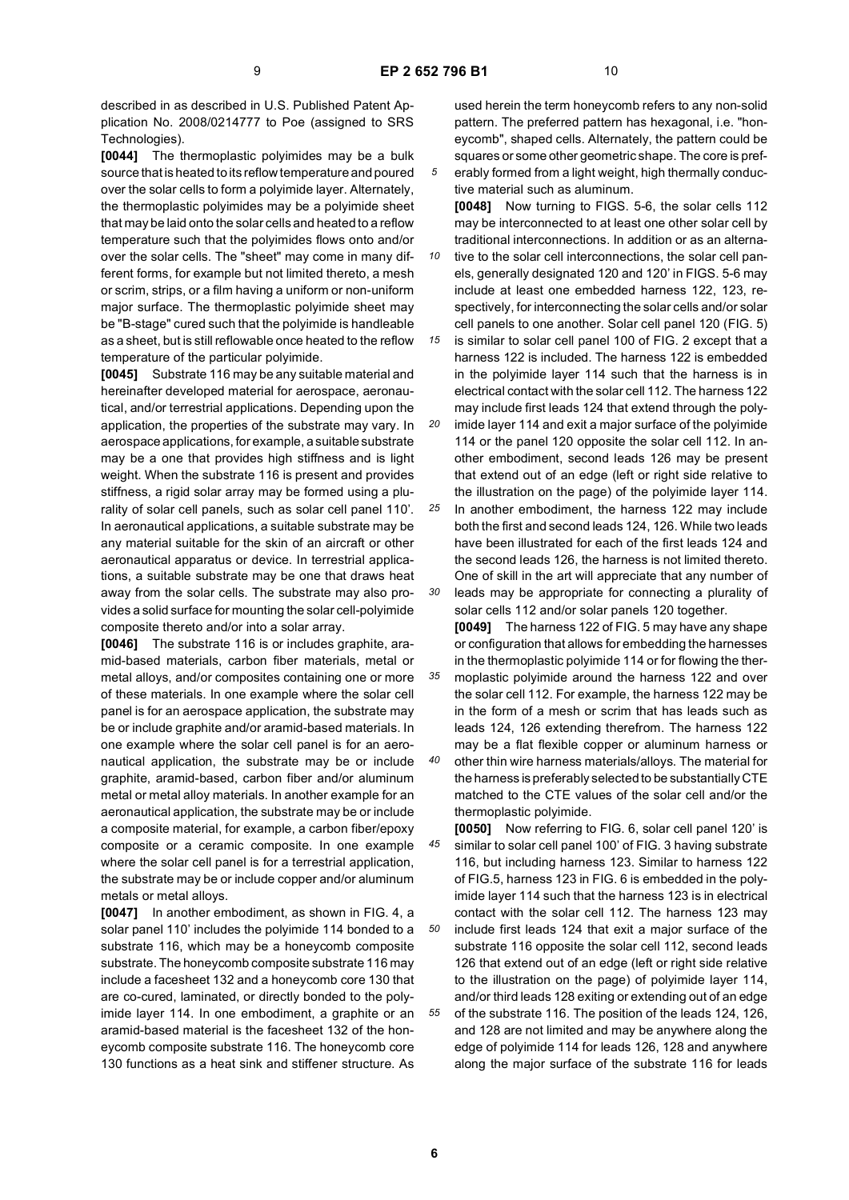described in as described in U.S. Published Patent Application No. 2008/0214777 to Poe (assigned to SRS Technologies).

**[0044]** The thermoplastic polyimides may be a bulk source that is heated to its reflow temperature and poured over the solar cells to form a polyimide layer. Alternately, the thermoplastic polyimides may be a polyimide sheet that may be laid onto the solar cells and heated to a reflow temperature such that the polyimides flows onto and/or over the solar cells. The "sheet" may come in many different forms, for example but not limited thereto, a mesh or scrim, strips, or a film having a uniform or non-uniform major surface. The thermoplastic polyimide sheet may be "B-stage" cured such that the polyimide is handleable as a sheet, but is still reflowable once heated to the reflow temperature of the particular polyimide.

**[0045]** Substrate 116 may be any suitable material and hereinafter developed material for aerospace, aeronautical, and/or terrestrial applications. Depending upon the application, the properties of the substrate may vary. In aerospace applications, for example, a suitable substrate may be a one that provides high stiffness and is light weight. When the substrate 116 is present and provides stiffness, a rigid solar array may be formed using a plurality of solar cell panels, such as solar cell panel 110'. In aeronautical applications, a suitable substrate may be any material suitable for the skin of an aircraft or other aeronautical apparatus or device. In terrestrial applications, a suitable substrate may be one that draws heat away from the solar cells. The substrate may also provides a solid surface for mounting the solar cell-polyimide composite thereto and/or into a solar array.

**[0046]** The substrate 116 is or includes graphite, aramid-based materials, carbon fiber materials, metal or metal alloys, and/or composites containing one or more of these materials. In one example where the solar cell panel is for an aerospace application, the substrate may be or include graphite and/or aramid-based materials. In one example where the solar cell panel is for an aeronautical application, the substrate may be or include graphite, aramid-based, carbon fiber and/or aluminum metal or metal alloy materials. In another example for an aeronautical application, the substrate may be or include a composite material, for example, a carbon fiber/epoxy composite or a ceramic composite. In one example where the solar cell panel is for a terrestrial application, the substrate may be or include copper and/or aluminum metals or metal alloys.

**[0047]** In another embodiment, as shown in FIG. 4, a solar panel 110' includes the polyimide 114 bonded to a substrate 116, which may be a honeycomb composite substrate. The honeycomb composite substrate 116 may include a facesheet 132 and a honeycomb core 130 that are co-cured, laminated, or directly bonded to the polyimide layer 114. In one embodiment, a graphite or an aramid-based material is the facesheet 132 of the honeycomb composite substrate 116. The honeycomb core 130 functions as a heat sink and stiffener structure. As

used herein the term honeycomb refers to any non-solid pattern. The preferred pattern has hexagonal, i.e. "honeycomb", shaped cells. Alternately, the pattern could be squares or some other geometric shape. The core is preferably formed from a light weight, high thermally conduc-

tive material such as aluminum. **[0048]** Now turning to FIGS. 5-6, the solar cells 112 may be interconnected to at least one other solar cell by traditional interconnections. In addition or as an alterna-

*10* tive to the solar cell interconnections, the solar cell panels, generally designated 120 and 120' in FIGS. 5-6 may include at least one embedded harness 122, 123, respectively, for interconnecting the solar cells and/or solar cell panels to one another. Solar cell panel 120 (FIG. 5)

*15* is similar to solar cell panel 100 of FIG. 2 except that a harness 122 is included. The harness 122 is embedded in the polyimide layer 114 such that the harness is in electrical contact with the solar cell 112. The harness 122 may include first leads 124 that extend through the poly-

*20* imide layer 114 and exit a major surface of the polyimide 114 or the panel 120 opposite the solar cell 112. In another embodiment, second leads 126 may be present that extend out of an edge (left or right side relative to the illustration on the page) of the polyimide layer 114.

*25 30* In another embodiment, the harness 122 may include both the first and second leads 124, 126. While two leads have been illustrated for each of the first leads 124 and the second leads 126, the harness is not limited thereto. One of skill in the art will appreciate that any number of

leads may be appropriate for connecting a plurality of solar cells 112 and/or solar panels 120 together.

**[0049]** The harness 122 of FIG. 5 may have any shape or configuration that allows for embedding the harnesses in the thermoplastic polyimide 114 or for flowing the thermoplastic polyimide around the harness 122 and over the solar cell 112. For example, the harness 122 may be in the form of a mesh or scrim that has leads such as leads 124, 126 extending therefrom. The harness 122 may be a flat flexible copper or aluminum harness or other thin wire harness materials/alloys. The material for

the harness is preferably selected to be substantially CTE matched to the CTE values of the solar cell and/or the thermoplastic polyimide.

*45 50 55* **[0050]** Now referring to FIG. 6, solar cell panel 120' is similar to solar cell panel 100' of FIG. 3 having substrate 116, but including harness 123. Similar to harness 122 of FIG.5, harness 123 in FIG. 6 is embedded in the polyimide layer 114 such that the harness 123 is in electrical contact with the solar cell 112. The harness 123 may include first leads 124 that exit a major surface of the substrate 116 opposite the solar cell 112, second leads 126 that extend out of an edge (left or right side relative to the illustration on the page) of polyimide layer 114, and/or third leads 128 exiting or extending out of an edge of the substrate 116. The position of the leads 124, 126, and 128 are not limited and may be anywhere along the edge of polyimide 114 for leads 126, 128 and anywhere along the major surface of the substrate 116 for leads

*35*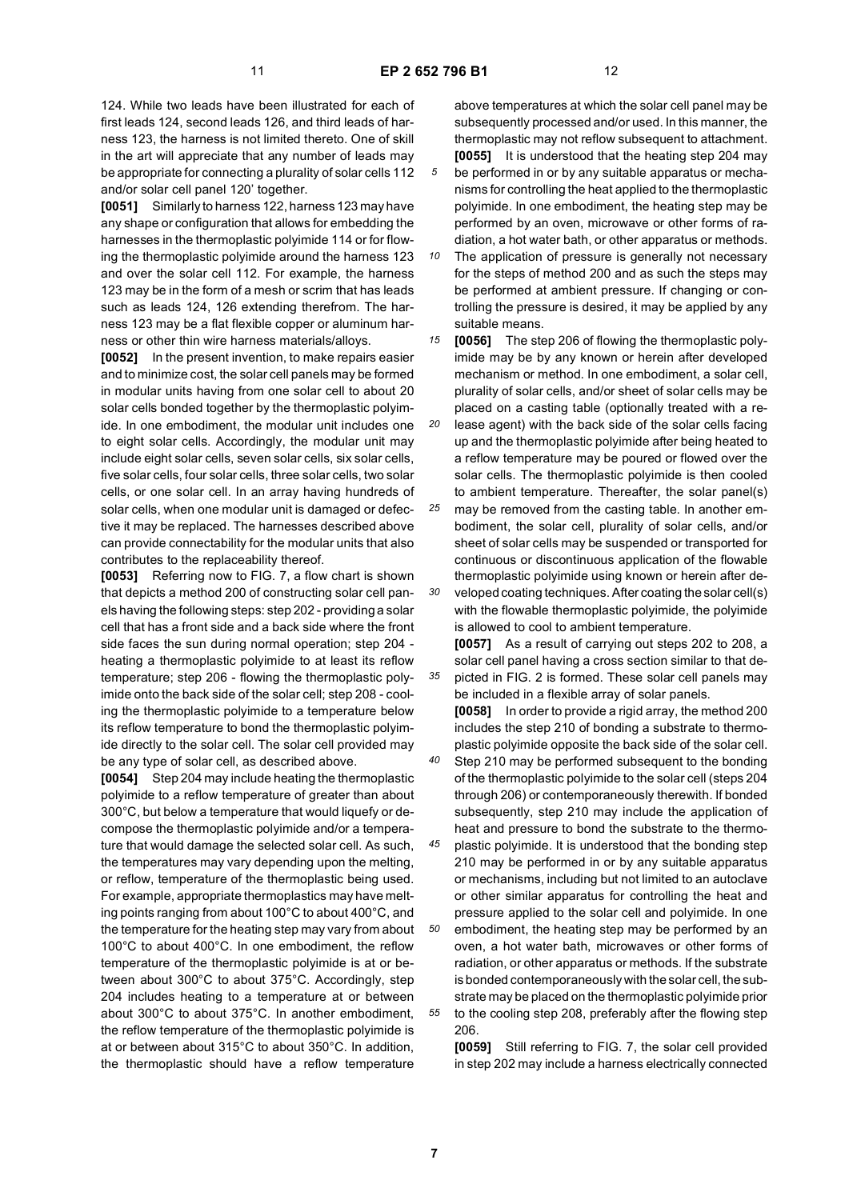124. While two leads have been illustrated for each of first leads 124, second leads 126, and third leads of harness 123, the harness is not limited thereto. One of skill in the art will appreciate that any number of leads may be appropriate for connecting a plurality of solar cells 112 and/or solar cell panel 120' together.

**[0051]** Similarly to harness 122, harness 123 may have any shape or configuration that allows for embedding the harnesses in the thermoplastic polyimide 114 or for flowing the thermoplastic polyimide around the harness 123 and over the solar cell 112. For example, the harness 123 may be in the form of a mesh or scrim that has leads such as leads 124, 126 extending therefrom. The harness 123 may be a flat flexible copper or aluminum harness or other thin wire harness materials/alloys.

**[0052]** In the present invention, to make repairs easier and to minimize cost, the solar cell panels may be formed in modular units having from one solar cell to about 20 solar cells bonded together by the thermoplastic polyimide. In one embodiment, the modular unit includes one to eight solar cells. Accordingly, the modular unit may include eight solar cells, seven solar cells, six solar cells, five solar cells, four solar cells, three solar cells, two solar cells, or one solar cell. In an array having hundreds of solar cells, when one modular unit is damaged or defective it may be replaced. The harnesses described above can provide connectability for the modular units that also contributes to the replaceability thereof.

**[0053]** Referring now to FIG. 7, a flow chart is shown that depicts a method 200 of constructing solar cell panels having the following steps: step 202 - providing a solar cell that has a front side and a back side where the front side faces the sun during normal operation; step 204 heating a thermoplastic polyimide to at least its reflow temperature; step 206 - flowing the thermoplastic polyimide onto the back side of the solar cell; step 208 - cooling the thermoplastic polyimide to a temperature below its reflow temperature to bond the thermoplastic polyimide directly to the solar cell. The solar cell provided may be any type of solar cell, as described above.

**[0054]** Step 204 may include heating the thermoplastic polyimide to a reflow temperature of greater than about 300°C, but below a temperature that would liquefy or decompose the thermoplastic polyimide and/or a temperature that would damage the selected solar cell. As such, the temperatures may vary depending upon the melting, or reflow, temperature of the thermoplastic being used. For example, appropriate thermoplastics may have melting points ranging from about 100°C to about 400°C, and the temperature for the heating step may vary from about 100°C to about 400°C. In one embodiment, the reflow temperature of the thermoplastic polyimide is at or between about 300°C to about 375°C. Accordingly, step 204 includes heating to a temperature at or between about 300°C to about 375°C. In another embodiment, the reflow temperature of the thermoplastic polyimide is at or between about 315°C to about 350°C. In addition, the thermoplastic should have a reflow temperature

above temperatures at which the solar cell panel may be subsequently processed and/or used. In this manner, the thermoplastic may not reflow subsequent to attachment. **[0055]** It is understood that the heating step 204 may be performed in or by any suitable apparatus or mechanisms for controlling the heat applied to the thermoplastic polyimide. In one embodiment, the heating step may be performed by an oven, microwave or other forms of radiation, a hot water bath, or other apparatus or methods.

*10* The application of pressure is generally not necessary for the steps of method 200 and as such the steps may be performed at ambient pressure. If changing or controlling the pressure is desired, it may be applied by any suitable means.

*15 20* **[0056]** The step 206 of flowing the thermoplastic polyimide may be by any known or herein after developed mechanism or method. In one embodiment, a solar cell, plurality of solar cells, and/or sheet of solar cells may be placed on a casting table (optionally treated with a release agent) with the back side of the solar cells facing

up and the thermoplastic polyimide after being heated to a reflow temperature may be poured or flowed over the solar cells. The thermoplastic polyimide is then cooled to ambient temperature. Thereafter, the solar panel(s)

*25* may be removed from the casting table. In another embodiment, the solar cell, plurality of solar cells, and/or sheet of solar cells may be suspended or transported for continuous or discontinuous application of the flowable thermoplastic polyimide using known or herein after de-

*30* veloped coating techniques. After coating the solar cell(s) with the flowable thermoplastic polyimide, the polyimide is allowed to cool to ambient temperature.

**[0057]** As a result of carrying out steps 202 to 208, a solar cell panel having a cross section similar to that depicted in FIG. 2 is formed. These solar cell panels may be included in a flexible array of solar panels.

**[0058]** In order to provide a rigid array, the method 200 includes the step 210 of bonding a substrate to thermoplastic polyimide opposite the back side of the solar cell.

*40* Step 210 may be performed subsequent to the bonding of the thermoplastic polyimide to the solar cell (steps 204 through 206) or contemporaneously therewith. If bonded subsequently, step 210 may include the application of heat and pressure to bond the substrate to the thermo-

*45* plastic polyimide. It is understood that the bonding step 210 may be performed in or by any suitable apparatus or mechanisms, including but not limited to an autoclave or other similar apparatus for controlling the heat and pressure applied to the solar cell and polyimide. In one

*50 55* embodiment, the heating step may be performed by an oven, a hot water bath, microwaves or other forms of radiation, or other apparatus or methods. If the substrate is bonded contemporaneously with the solar cell, the substrate may be placed on the thermoplastic polyimide prior to the cooling step 208, preferably after the flowing step 206.

**[0059]** Still referring to FIG. 7, the solar cell provided in step 202 may include a harness electrically connected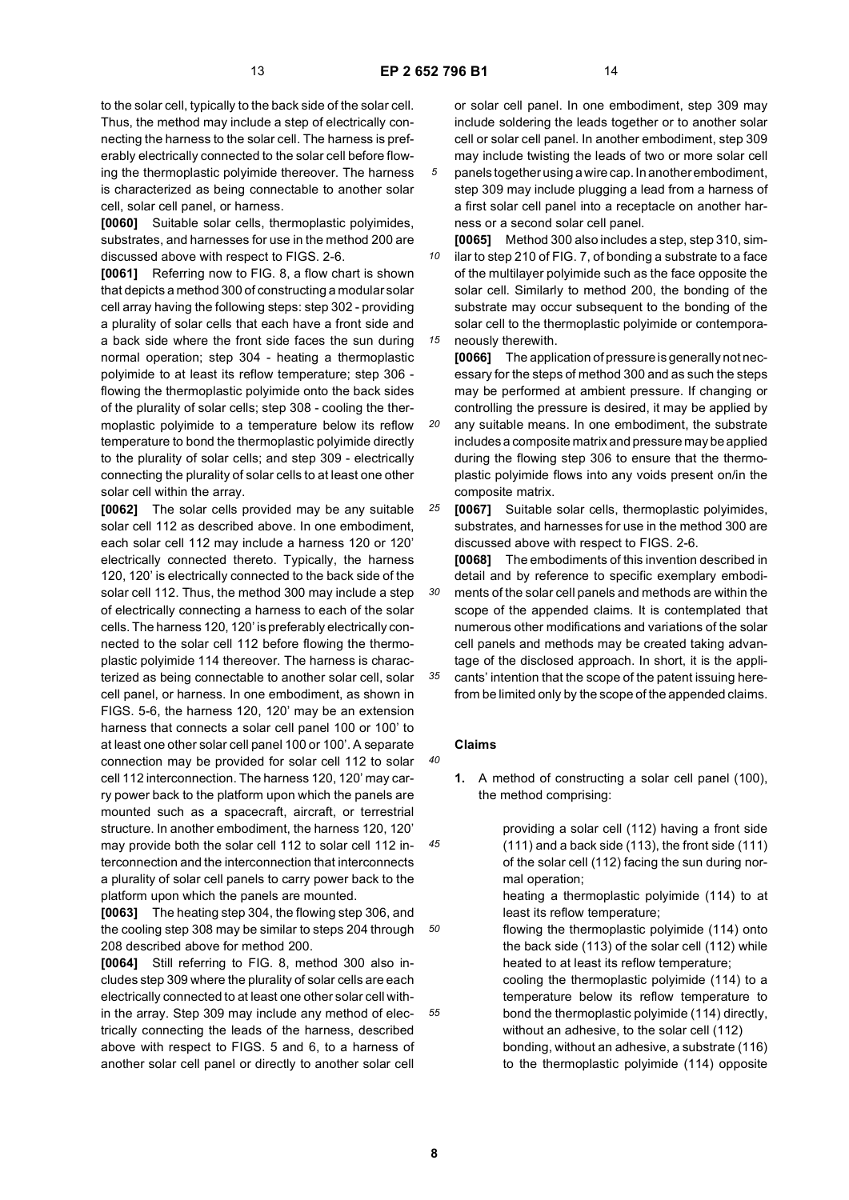to the solar cell, typically to the back side of the solar cell. Thus, the method may include a step of electrically connecting the harness to the solar cell. The harness is preferably electrically connected to the solar cell before flowing the thermoplastic polyimide thereover. The harness is characterized as being connectable to another solar cell, solar cell panel, or harness.

**[0060]** Suitable solar cells, thermoplastic polyimides, substrates, and harnesses for use in the method 200 are discussed above with respect to FIGS. 2-6.

**[0061]** Referring now to FIG. 8, a flow chart is shown that depicts a method 300 of constructing a modular solar cell array having the following steps: step 302 - providing a plurality of solar cells that each have a front side and a back side where the front side faces the sun during normal operation; step 304 - heating a thermoplastic polyimide to at least its reflow temperature; step 306 flowing the thermoplastic polyimide onto the back sides of the plurality of solar cells; step 308 - cooling the thermoplastic polyimide to a temperature below its reflow temperature to bond the thermoplastic polyimide directly to the plurality of solar cells; and step 309 - electrically connecting the plurality of solar cells to at least one other solar cell within the array.

**[0062]** The solar cells provided may be any suitable solar cell 112 as described above. In one embodiment, each solar cell 112 may include a harness 120 or 120' electrically connected thereto. Typically, the harness 120, 120' is electrically connected to the back side of the solar cell 112. Thus, the method 300 may include a step of electrically connecting a harness to each of the solar cells. The harness 120, 120' is preferably electrically connected to the solar cell 112 before flowing the thermoplastic polyimide 114 thereover. The harness is characterized as being connectable to another solar cell, solar cell panel, or harness. In one embodiment, as shown in FIGS. 5-6, the harness 120, 120' may be an extension harness that connects a solar cell panel 100 or 100' to at least one other solar cell panel 100 or 100'. A separate connection may be provided for solar cell 112 to solar cell 112 interconnection. The harness 120, 120' may carry power back to the platform upon which the panels are mounted such as a spacecraft, aircraft, or terrestrial structure. In another embodiment, the harness 120, 120' may provide both the solar cell 112 to solar cell 112 interconnection and the interconnection that interconnects a plurality of solar cell panels to carry power back to the platform upon which the panels are mounted.

*50* **[0063]** The heating step 304, the flowing step 306, and the cooling step 308 may be similar to steps 204 through 208 described above for method 200.

**[0064]** Still referring to FIG. 8, method 300 also includes step 309 where the plurality of solar cells are each electrically connected to at least one other solar cell within the array. Step 309 may include any method of electrically connecting the leads of the harness, described above with respect to FIGS. 5 and 6, to a harness of another solar cell panel or directly to another solar cell

or solar cell panel. In one embodiment, step 309 may include soldering the leads together or to another solar cell or solar cell panel. In another embodiment, step 309 may include twisting the leads of two or more solar cell

*5* panels together using a wire cap. In another embodiment, step 309 may include plugging a lead from a harness of a first solar cell panel into a receptacle on another harness or a second solar cell panel.

*10 15* **[0065]** Method 300 also includes a step, step 310, similar to step 210 of FIG. 7, of bonding a substrate to a face of the multilayer polyimide such as the face opposite the solar cell. Similarly to method 200, the bonding of the substrate may occur subsequent to the bonding of the solar cell to the thermoplastic polyimide or contemporaneously therewith.

**[0066]** The application of pressure is generally not necessary for the steps of method 300 and as such the steps may be performed at ambient pressure. If changing or controlling the pressure is desired, it may be applied by

*20* any suitable means. In one embodiment, the substrate includes a composite matrix and pressure may be applied during the flowing step 306 to ensure that the thermoplastic polyimide flows into any voids present on/in the composite matrix.

*25* **[0067]** Suitable solar cells, thermoplastic polyimides, substrates, and harnesses for use in the method 300 are discussed above with respect to FIGS. 2-6.

*30 35* **[0068]** The embodiments of this invention described in detail and by reference to specific exemplary embodiments of the solar cell panels and methods are within the scope of the appended claims. It is contemplated that numerous other modifications and variations of the solar cell panels and methods may be created taking advantage of the disclosed approach. In short, it is the applicants' intention that the scope of the patent issuing here-

from be limited only by the scope of the appended claims.

## **Claims**

*40*

*45*

**1.** A method of constructing a solar cell panel (100), the method comprising:

> providing a solar cell (112) having a front side (111) and a back side (113), the front side (111) of the solar cell (112) facing the sun during normal operation;

heating a thermoplastic polyimide (114) to at least its reflow temperature;

flowing the thermoplastic polyimide (114) onto the back side (113) of the solar cell (112) while heated to at least its reflow temperature;

cooling the thermoplastic polyimide (114) to a temperature below its reflow temperature to bond the thermoplastic polyimide (114) directly, without an adhesive, to the solar cell (112)

bonding, without an adhesive, a substrate (116) to the thermoplastic polyimide (114) opposite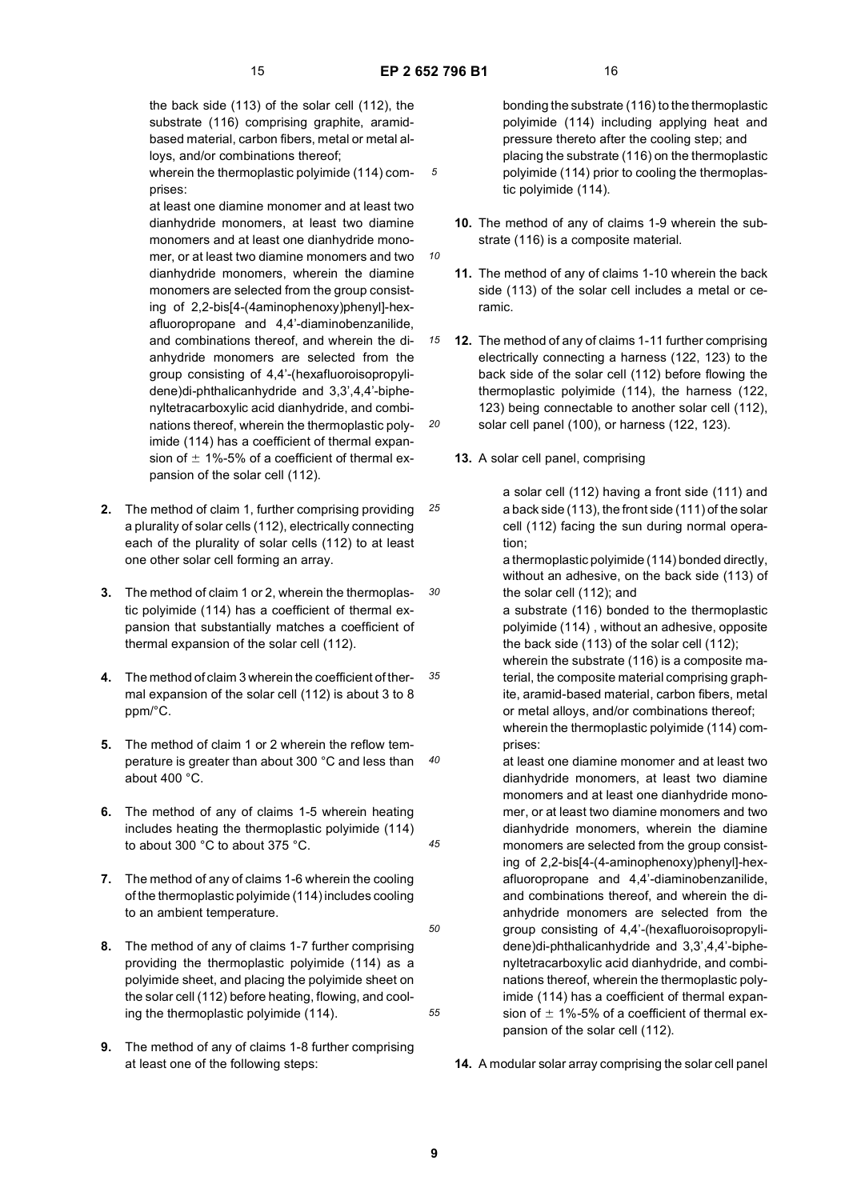*10*

*20*

the back side (113) of the solar cell (112), the substrate (116) comprising graphite, aramidbased material, carbon fibers, metal or metal alloys, and/or combinations thereof;

wherein the thermoplastic polyimide (114) comprises:

at least one diamine monomer and at least two dianhydride monomers, at least two diamine monomers and at least one dianhydride monomer, or at least two diamine monomers and two dianhydride monomers, wherein the diamine monomers are selected from the group consisting of 2,2-bis[4-(4aminophenoxy)phenyl]-hexafluoropropane and 4,4'-diaminobenzanilide, and combinations thereof, and wherein the dianhydride monomers are selected from the group consisting of 4,4'-(hexafluoroisopropylidene)di-phthalicanhydride and 3,3',4,4'-biphenyltetracarboxylic acid dianhydride, and combinations thereof, wherein the thermoplastic polyimide (114) has a coefficient of thermal expansion of  $\pm$  1%-5% of a coefficient of thermal expansion of the solar cell (112).

- *25* **2.** The method of claim 1, further comprising providing a plurality of solar cells (112), electrically connecting each of the plurality of solar cells (112) to at least one other solar cell forming an array.
- *30* **3.** The method of claim 1 or 2, wherein the thermoplastic polyimide (114) has a coefficient of thermal expansion that substantially matches a coefficient of thermal expansion of the solar cell (112).
- *35* **4.** The method of claim 3 wherein the coefficient of thermal expansion of the solar cell (112) is about 3 to 8 ppm/°C.
- *40* **5.** The method of claim 1 or 2 wherein the reflow temperature is greater than about 300 °C and less than about 400 °C.
- **6.** The method of any of claims 1-5 wherein heating includes heating the thermoplastic polyimide (114) to about 300 °C to about 375 °C.
- **7.** The method of any of claims 1-6 wherein the cooling of the thermoplastic polyimide (114) includes cooling to an ambient temperature.
- **8.** The method of any of claims 1-7 further comprising providing the thermoplastic polyimide (114) as a polyimide sheet, and placing the polyimide sheet on the solar cell (112) before heating, flowing, and cooling the thermoplastic polyimide (114).
- **9.** The method of any of claims 1-8 further comprising at least one of the following steps:

bonding the substrate (116) to the thermoplastic polyimide (114) including applying heat and pressure thereto after the cooling step; and placing the substrate (116) on the thermoplastic polyimide (114) prior to cooling the thermoplastic polyimide (114).

- **10.** The method of any of claims 1-9 wherein the substrate (116) is a composite material.
- **11.** The method of any of claims 1-10 wherein the back side (113) of the solar cell includes a metal or ceramic.
- *15* **12.** The method of any of claims 1-11 further comprising electrically connecting a harness (122, 123) to the back side of the solar cell (112) before flowing the thermoplastic polyimide (114), the harness (122, 123) being connectable to another solar cell (112), solar cell panel (100), or harness (122, 123).
	- **13.** A solar cell panel, comprising

a solar cell (112) having a front side (111) and a back side (113), the front side (111) of the solar cell (112) facing the sun during normal operation;

a thermoplastic polyimide (114) bonded directly, without an adhesive, on the back side (113) of the solar cell (112); and

a substrate (116) bonded to the thermoplastic polyimide (114) , without an adhesive, opposite the back side (113) of the solar cell (112);

wherein the substrate (116) is a composite material, the composite material comprising graphite, aramid-based material, carbon fibers, metal or metal alloys, and/or combinations thereof; wherein the thermoplastic polyimide (114) com-

prises:

at least one diamine monomer and at least two dianhydride monomers, at least two diamine monomers and at least one dianhydride monomer, or at least two diamine monomers and two dianhydride monomers, wherein the diamine monomers are selected from the group consisting of 2,2-bis[4-(4-aminophenoxy)phenyl]-hexafluoropropane and 4,4'-diaminobenzanilide, and combinations thereof, and wherein the dianhydride monomers are selected from the group consisting of 4,4'-(hexafluoroisopropylidene)di-phthalicanhydride and 3,3',4,4'-biphenyltetracarboxylic acid dianhydride, and combinations thereof, wherein the thermoplastic polyimide (114) has a coefficient of thermal expansion of  $\pm$  1%-5% of a coefficient of thermal expansion of the solar cell (112).

**14.** A modular solar array comprising the solar cell panel

*45*

*50*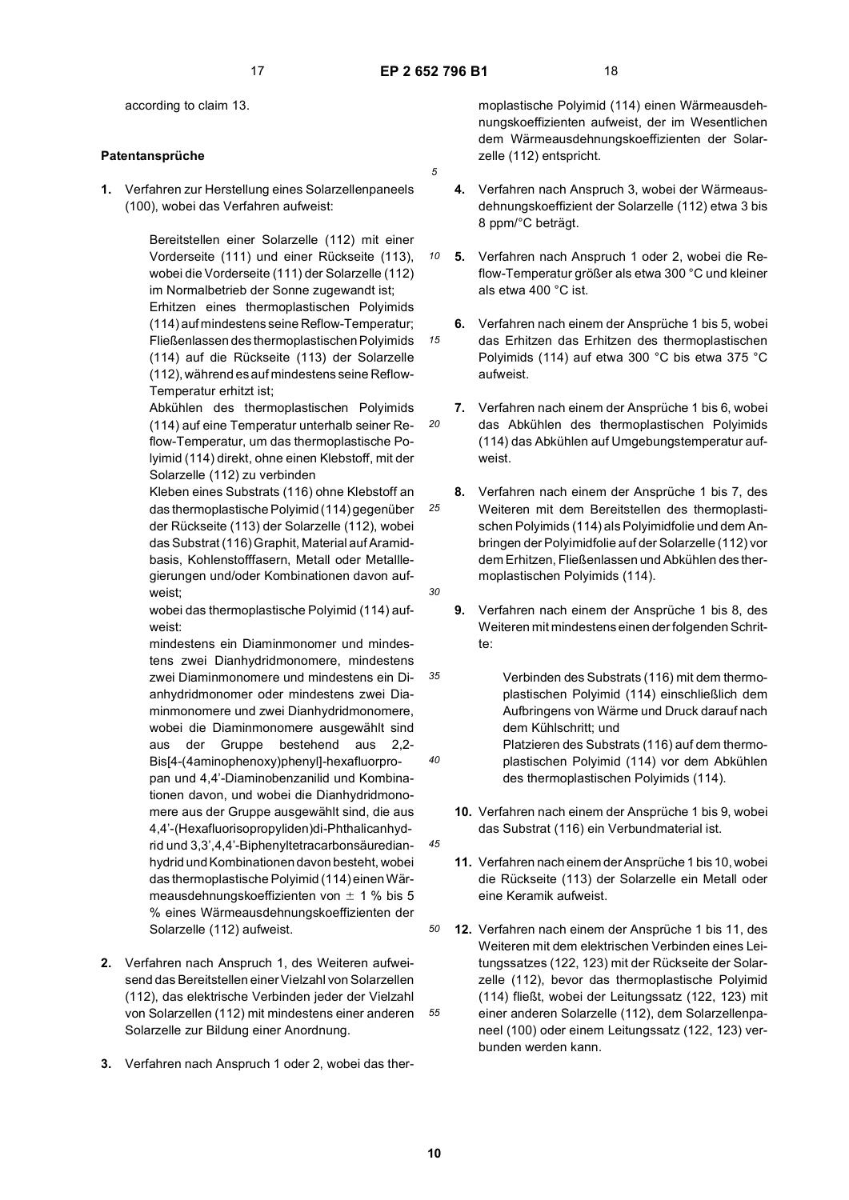*10*

*15*

*20*

*25*

*30*

*35*

*40*

*45*

according to claim 13.

#### **Patentansprüche**

**1.** Verfahren zur Herstellung eines Solarzellenpaneels (100), wobei das Verfahren aufweist:

> Bereitstellen einer Solarzelle (112) mit einer Vorderseite (111) und einer Rückseite (113), wobei die Vorderseite (111) der Solarzelle (112) im Normalbetrieb der Sonne zugewandt ist; Erhitzen eines thermoplastischen Polyimids (114) auf mindestens seine Reflow-Temperatur; Fließenlassen des thermoplastischen Polyimids (114) auf die Rückseite (113) der Solarzelle (112), während es auf mindestens seine Reflow-Temperatur erhitzt ist;

> Abkühlen des thermoplastischen Polyimids (114) auf eine Temperatur unterhalb seiner Reflow-Temperatur, um das thermoplastische Polyimid (114) direkt, ohne einen Klebstoff, mit der Solarzelle (112) zu verbinden

> Kleben eines Substrats (116) ohne Klebstoff an das thermoplastische Polyimid (114) gegenüber der Rückseite (113) der Solarzelle (112), wobei das Substrat (116) Graphit, Material auf Aramidbasis, Kohlenstofffasern, Metall oder Metalllegierungen und/oder Kombinationen davon aufweist;

wobei das thermoplastische Polyimid (114) aufweist:

mindestens ein Diaminmonomer und mindestens zwei Dianhydridmonomere, mindestens zwei Diaminmonomere und mindestens ein Dianhydridmonomer oder mindestens zwei Diaminmonomere und zwei Dianhydridmonomere, wobei die Diaminmonomere ausgewählt sind aus der Gruppe bestehend aus 2,2- Bis[4-(4aminophenoxy)phenyl]-hexafluorpropan und 4,4'-Diaminobenzanilid und Kombinationen davon, und wobei die Dianhydridmonomere aus der Gruppe ausgewählt sind, die aus 4,4'-(Hexafluorisopropyliden)di-Phthalicanhydrid und 3,3',4,4'-Biphenyltetracarbonsäuredianhydrid und Kombinationen davon besteht, wobei das thermoplastische Polyimid (114) einen Wärmeausdehnungskoeffizienten von  $\pm$  1 % bis 5 % eines Wärmeausdehnungskoeffizienten der Solarzelle (112) aufweist.

- **2.** Verfahren nach Anspruch 1, des Weiteren aufweisend das Bereitstellen einer Vielzahl von Solarzellen (112), das elektrische Verbinden jeder der Vielzahl von Solarzellen (112) mit mindestens einer anderen Solarzelle zur Bildung einer Anordnung.
- **3.** Verfahren nach Anspruch 1 oder 2, wobei das ther-

moplastische Polyimid (114) einen Wärmeausdehnungskoeffizienten aufweist, der im Wesentlichen dem Wärmeausdehnungskoeffizienten der Solarzelle (112) entspricht.

- **4.** Verfahren nach Anspruch 3, wobei der Wärmeausdehnungskoeffizient der Solarzelle (112) etwa 3 bis 8 ppm/°C beträgt.
- **5.** Verfahren nach Anspruch 1 oder 2, wobei die Reflow-Temperatur größer als etwa 300 °C und kleiner als etwa 400 °C ist.
- **6.** Verfahren nach einem der Ansprüche 1 bis 5, wobei das Erhitzen das Erhitzen des thermoplastischen Polyimids (114) auf etwa 300 °C bis etwa 375 °C aufweist.
- **7.** Verfahren nach einem der Ansprüche 1 bis 6, wobei das Abkühlen des thermoplastischen Polyimids (114) das Abkühlen auf Umgebungstemperatur aufweist.
- **8.** Verfahren nach einem der Ansprüche 1 bis 7, des Weiteren mit dem Bereitstellen des thermoplastischen Polyimids (114) als Polyimidfolie und dem Anbringen der Polyimidfolie auf der Solarzelle (112) vor dem Erhitzen, Fließenlassen und Abkühlen des thermoplastischen Polyimids (114).
	- **9.** Verfahren nach einem der Ansprüche 1 bis 8, des Weiteren mit mindestens einen der folgenden Schritte:
- Verbinden des Substrats (116) mit dem thermoplastischen Polyimid (114) einschließlich dem Aufbringens von Wärme und Druck darauf nach dem Kühlschritt; und Platzieren des Substrats (116) auf dem thermo
	- plastischen Polyimid (114) vor dem Abkühlen des thermoplastischen Polyimids (114).
- **10.** Verfahren nach einem der Ansprüche 1 bis 9, wobei das Substrat (116) ein Verbundmaterial ist.
- **11.** Verfahren nach einem der Ansprüche 1 bis 10, wobei die Rückseite (113) der Solarzelle ein Metall oder eine Keramik aufweist.
- *50 55* **12.** Verfahren nach einem der Ansprüche 1 bis 11, des Weiteren mit dem elektrischen Verbinden eines Leitungssatzes (122, 123) mit der Rückseite der Solarzelle (112), bevor das thermoplastische Polyimid (114) fließt, wobei der Leitungssatz (122, 123) mit einer anderen Solarzelle (112), dem Solarzellenpaneel (100) oder einem Leitungssatz (122, 123) verbunden werden kann.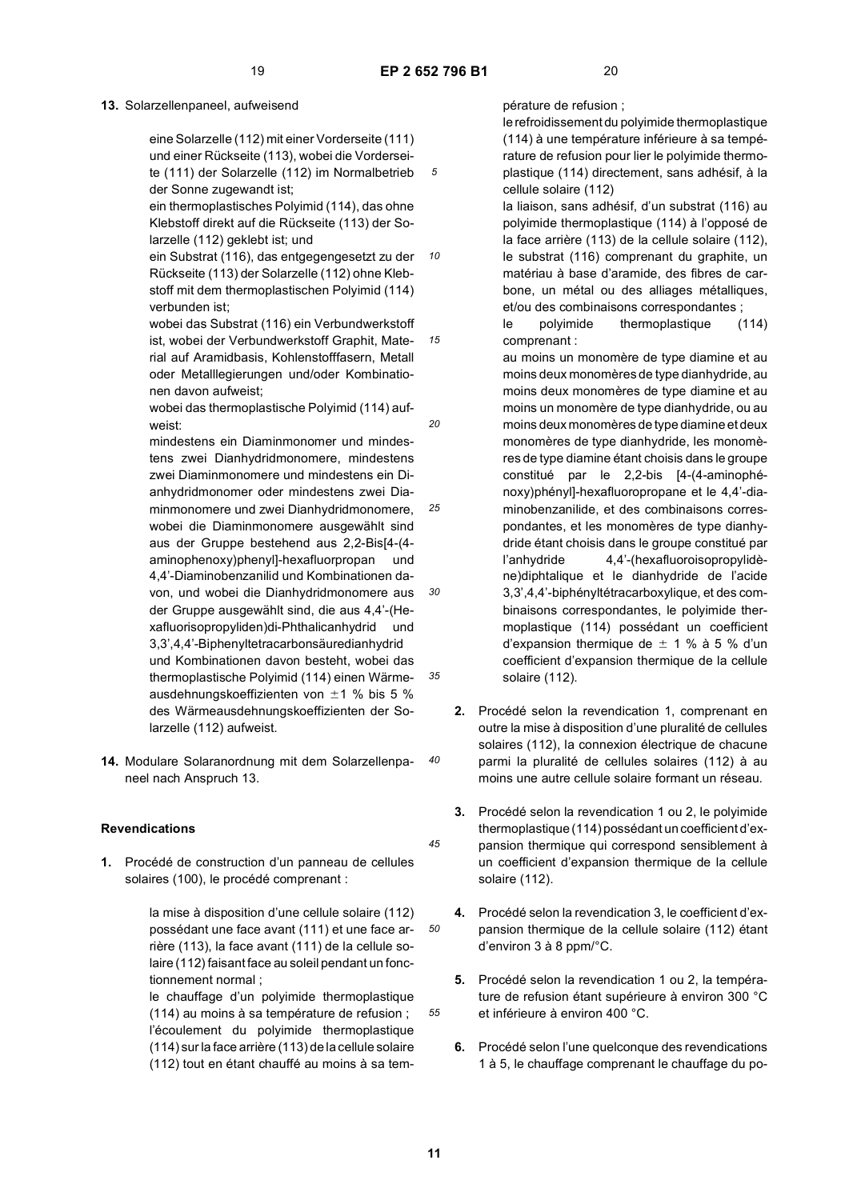*15*

*20*

## **13.** Solarzellenpaneel, aufweisend

eine Solarzelle (112) mit einer Vorderseite (111) und einer Rückseite (113), wobei die Vorderseite (111) der Solarzelle (112) im Normalbetrieb der Sonne zugewandt ist;

ein thermoplastisches Polyimid (114), das ohne Klebstoff direkt auf die Rückseite (113) der Solarzelle (112) geklebt ist; und

*10* ein Substrat (116), das entgegengesetzt zu der Rückseite (113) der Solarzelle (112) ohne Klebstoff mit dem thermoplastischen Polyimid (114) verbunden ist;

wobei das Substrat (116) ein Verbundwerkstoff ist, wobei der Verbundwerkstoff Graphit, Material auf Aramidbasis, Kohlenstofffasern, Metall oder Metalllegierungen und/oder Kombinationen davon aufweist;

wobei das thermoplastische Polyimid (114) aufweist:

*25 30 35* mindestens ein Diaminmonomer und mindestens zwei Dianhydridmonomere, mindestens zwei Diaminmonomere und mindestens ein Dianhydridmonomer oder mindestens zwei Diaminmonomere und zwei Dianhydridmonomere, wobei die Diaminmonomere ausgewählt sind aus der Gruppe bestehend aus 2,2-Bis[4-(4 aminophenoxy)phenyl]-hexafluorpropan und 4,4'-Diaminobenzanilid und Kombinationen davon, und wobei die Dianhydridmonomere aus der Gruppe ausgewählt sind, die aus 4,4'-(Hexafluorisopropyliden)di-Phthalicanhydrid und 3,3',4,4'-Biphenyltetracarbonsäuredianhydrid und Kombinationen davon besteht, wobei das thermoplastische Polyimid (114) einen Wärmeausdehnungskoeffizienten von  $\pm 1$  % bis 5 % des Wärmeausdehnungskoeffizienten der Solarzelle (112) aufweist.

*40* **14.** Modulare Solaranordnung mit dem Solarzellenpaneel nach Anspruch 13.

#### **Revendications**

**1.** Procédé de construction d'un panneau de cellules solaires (100), le procédé comprenant :

> la mise à disposition d'une cellule solaire (112) possédant une face avant (111) et une face arrière (113), la face avant (111) de la cellule solaire (112) faisant face au soleil pendant un fonctionnement normal ;

> le chauffage d'un polyimide thermoplastique (114) au moins à sa température de refusion ; l'écoulement du polyimide thermoplastique (114) sur la face arrière (113) de la cellule solaire (112) tout en étant chauffé au moins à sa tem

pérature de refusion ;

le refroidissement du polyimide thermoplastique (114) à une température inférieure à sa température de refusion pour lier le polyimide thermoplastique (114) directement, sans adhésif, à la cellule solaire (112)

la liaison, sans adhésif, d'un substrat (116) au polyimide thermoplastique (114) à l'opposé de la face arrière (113) de la cellule solaire (112), le substrat (116) comprenant du graphite, un matériau à base d'aramide, des fibres de carbone, un métal ou des alliages métalliques, et/ou des combinaisons correspondantes ;

le polyimide thermoplastique (114) comprenant :

au moins un monomère de type diamine et au moins deux monomères de type dianhydride, au moins deux monomères de type diamine et au moins un monomère de type dianhydride, ou au moins deux monomères de type diamine et deux monomères de type dianhydride, les monomères de type diamine étant choisis dans le groupe constitué par le 2,2-bis [4-(4-aminophénoxy)phényl]-hexafluoropropane et le 4,4'-diaminobenzanilide, et des combinaisons correspondantes, et les monomères de type dianhydride étant choisis dans le groupe constitué par l'anhydride 4,4'-(hexafluoroisopropylidène)diphtalique et le dianhydride de l'acide 3,3',4,4'-biphényltétracarboxylique, et des combinaisons correspondantes, le polyimide thermoplastique (114) possédant un coefficient d'expansion thermique de  $\pm$  1 % à 5 % d'un coefficient d'expansion thermique de la cellule solaire (112).

- **2.** Procédé selon la revendication 1, comprenant en outre la mise à disposition d'une pluralité de cellules solaires (112), la connexion électrique de chacune parmi la pluralité de cellules solaires (112) à au moins une autre cellule solaire formant un réseau.
- **3.** Procédé selon la revendication 1 ou 2, le polyimide thermoplastique (114) possédant un coefficient d'expansion thermique qui correspond sensiblement à un coefficient d'expansion thermique de la cellule solaire (112).
- **4.** Procédé selon la revendication 3, le coefficient d'expansion thermique de la cellule solaire (112) étant d'environ 3 à 8 ppm/°C.
- **5.** Procédé selon la revendication 1 ou 2, la température de refusion étant supérieure à environ 300 °C et inférieure à environ 400 °C.
- **6.** Procédé selon l'une quelconque des revendications 1 à 5, le chauffage comprenant le chauffage du po-

*45*

*50*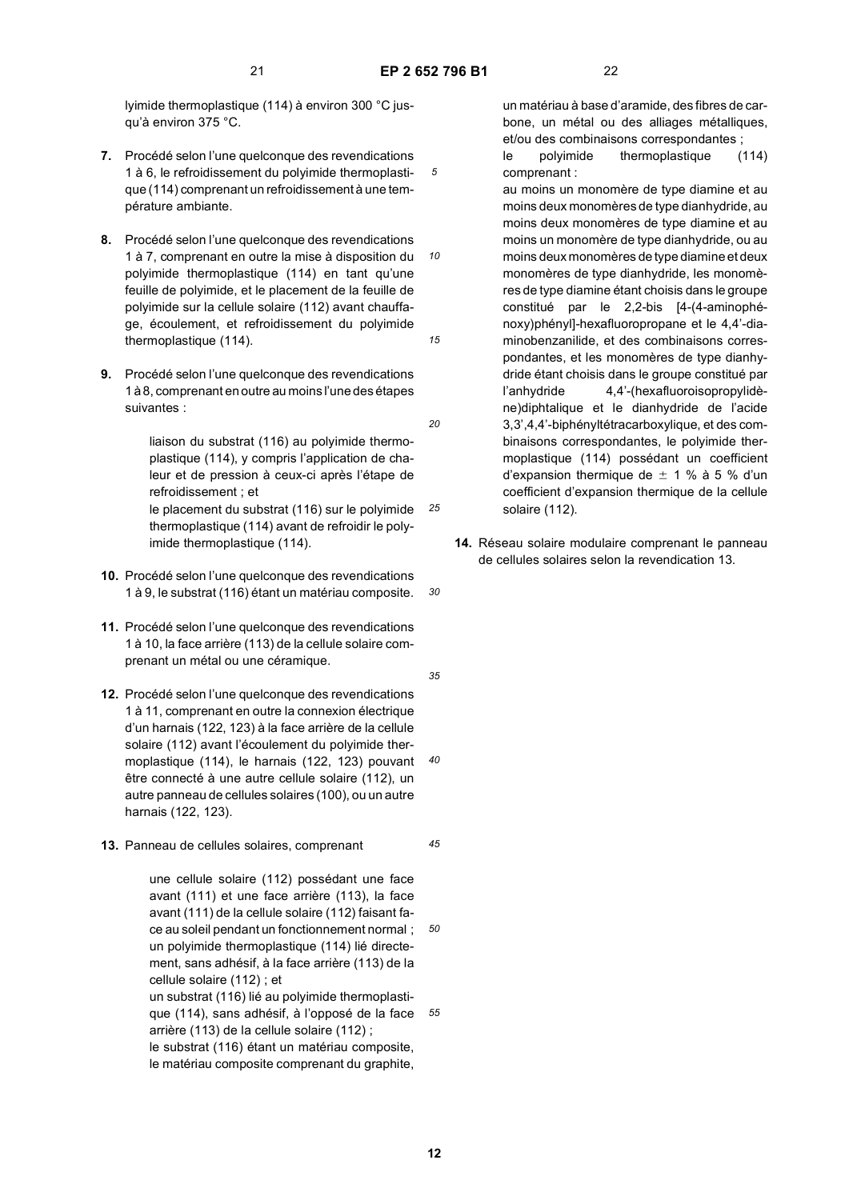*20*

*25*

*30*

lyimide thermoplastique (114) à environ 300 °C jusqu'à environ 375 °C.

- **7.** Procédé selon l'une quelconque des revendications 1 à 6, le refroidissement du polyimide thermoplastique (114) comprenant un refroidissement à une température ambiante.
- *10 15* **8.** Procédé selon l'une quelconque des revendications 1 à 7, comprenant en outre la mise à disposition du polyimide thermoplastique (114) en tant qu'une feuille de polyimide, et le placement de la feuille de polyimide sur la cellule solaire (112) avant chauffage, écoulement, et refroidissement du polyimide thermoplastique (114).
- **9.** Procédé selon l'une quelconque des revendications 1 à 8, comprenant en outre au moins l'une des étapes suivantes :

liaison du substrat (116) au polyimide thermoplastique (114), y compris l'application de chaleur et de pression à ceux-ci après l'étape de refroidissement ; et

le placement du substrat (116) sur le polyimide thermoplastique (114) avant de refroidir le polyimide thermoplastique (114).

- **10.** Procédé selon l'une quelconque des revendications 1 à 9, le substrat (116) étant un matériau composite.
- **11.** Procédé selon l'une quelconque des revendications 1 à 10, la face arrière (113) de la cellule solaire comprenant un métal ou une céramique.
- **12.** Procédé selon l'une quelconque des revendications 1 à 11, comprenant en outre la connexion électrique d'un harnais (122, 123) à la face arrière de la cellule solaire (112) avant l'écoulement du polyimide thermoplastique (114), le harnais (122, 123) pouvant être connecté à une autre cellule solaire (112), un autre panneau de cellules solaires (100), ou un autre harnais (122, 123).
- **13.** Panneau de cellules solaires, comprenant

*55* une cellule solaire (112) possédant une face avant (111) et une face arrière (113), la face avant (111) de la cellule solaire (112) faisant face au soleil pendant un fonctionnement normal ; un polyimide thermoplastique (114) lié directement, sans adhésif, à la face arrière (113) de la cellule solaire (112) ; et un substrat (116) lié au polyimide thermoplastique (114), sans adhésif, à l'opposé de la face arrière (113) de la cellule solaire (112) ; le substrat (116) étant un matériau composite, le matériau composite comprenant du graphite,

un matériau à base d'aramide, des fibres de carbone, un métal ou des alliages métalliques, et/ou des combinaisons correspondantes ;

le polyimide thermoplastique (114) comprenant :

- au moins un monomère de type diamine et au moins deux monomères de type dianhydride, au moins deux monomères de type diamine et au moins un monomère de type dianhydride, ou au moins deux monomères de type diamine et deux monomères de type dianhydride, les monomères de type diamine étant choisis dans le groupe constitué par le 2,2-bis [4-(4-aminophénoxy)phényl]-hexafluoropropane et le 4,4'-diaminobenzanilide, et des combinaisons correspondantes, et les monomères de type dianhydride étant choisis dans le groupe constitué par l'anhydride 4,4'-(hexafluoroisopropylidène)diphtalique et le dianhydride de l'acide 3,3',4,4'-biphényltétracarboxylique, et des combinaisons correspondantes, le polyimide thermoplastique (114) possédant un coefficient d'expansion thermique de  $\pm$  1 % à 5 % d'un coefficient d'expansion thermique de la cellule solaire (112).
- **14.** Réseau solaire modulaire comprenant le panneau de cellules solaires selon la revendication 13.
- *35*

*40*

*45*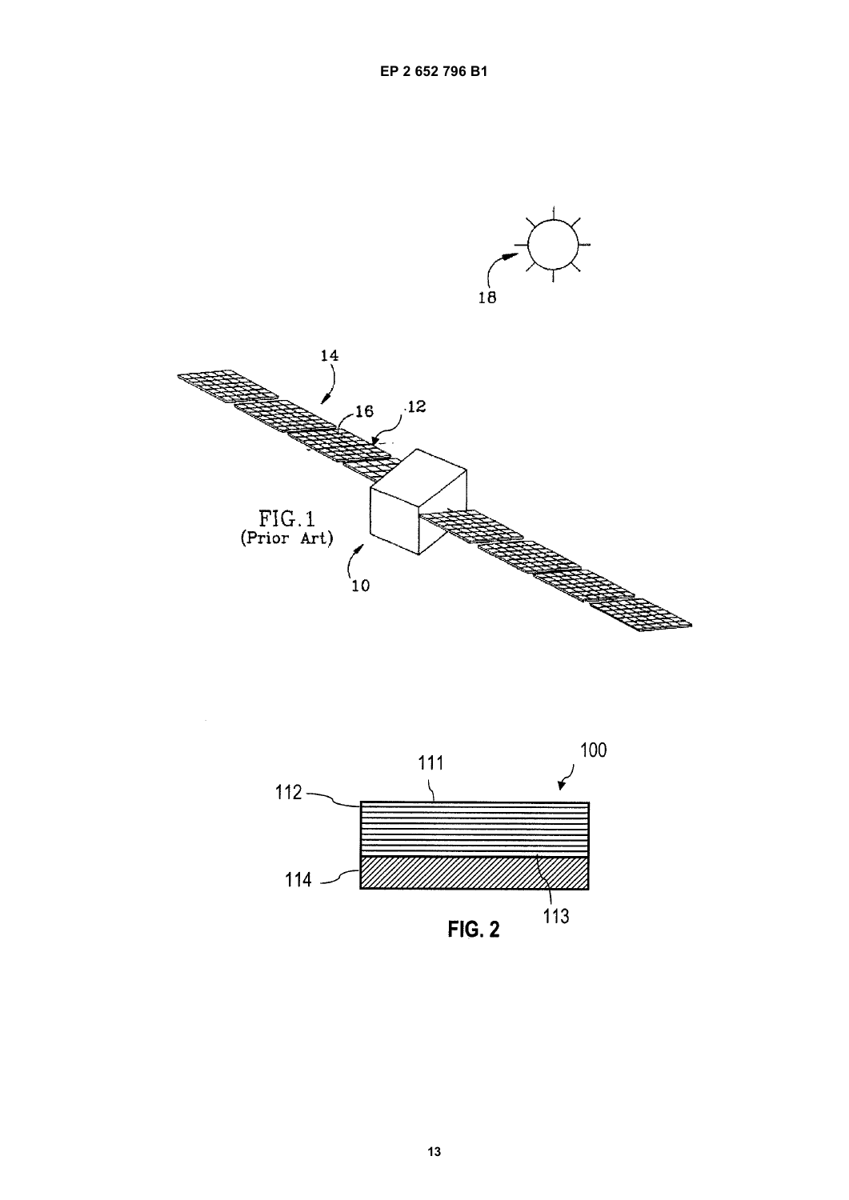

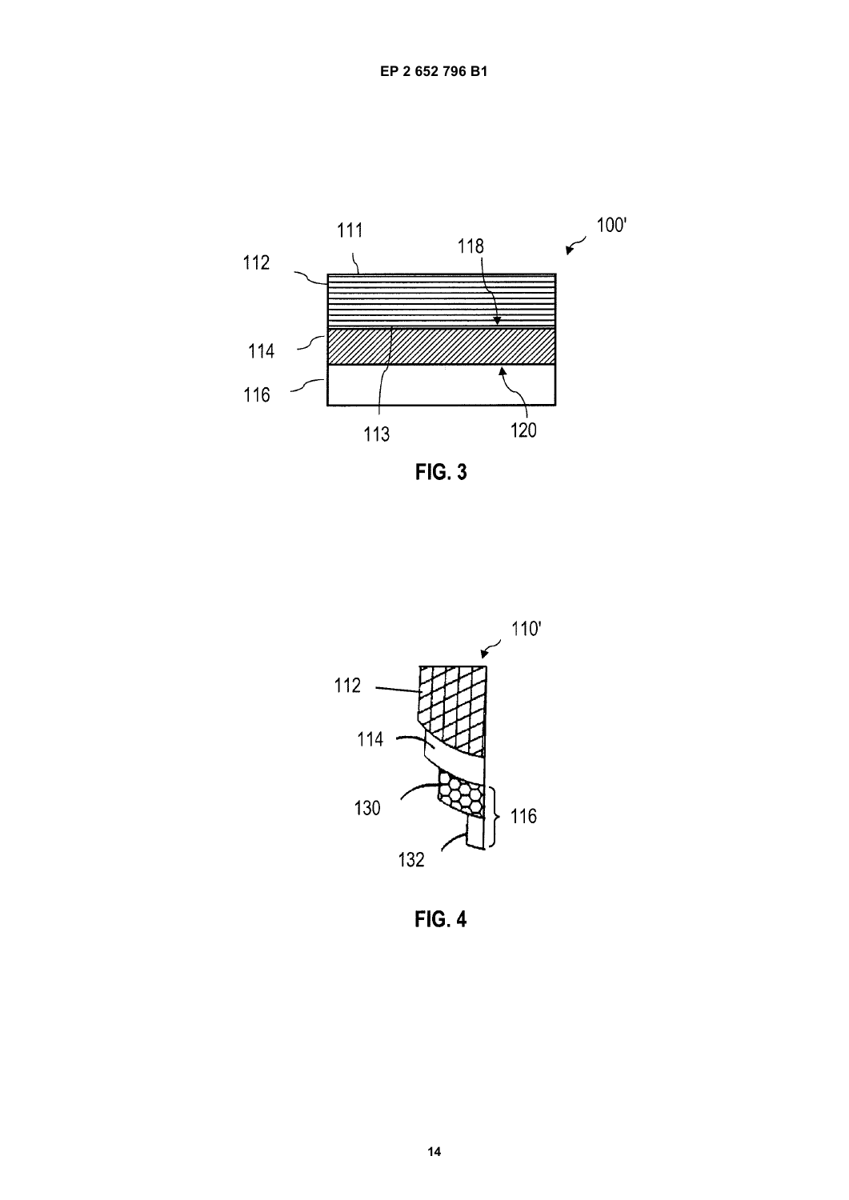





**FIG. 4**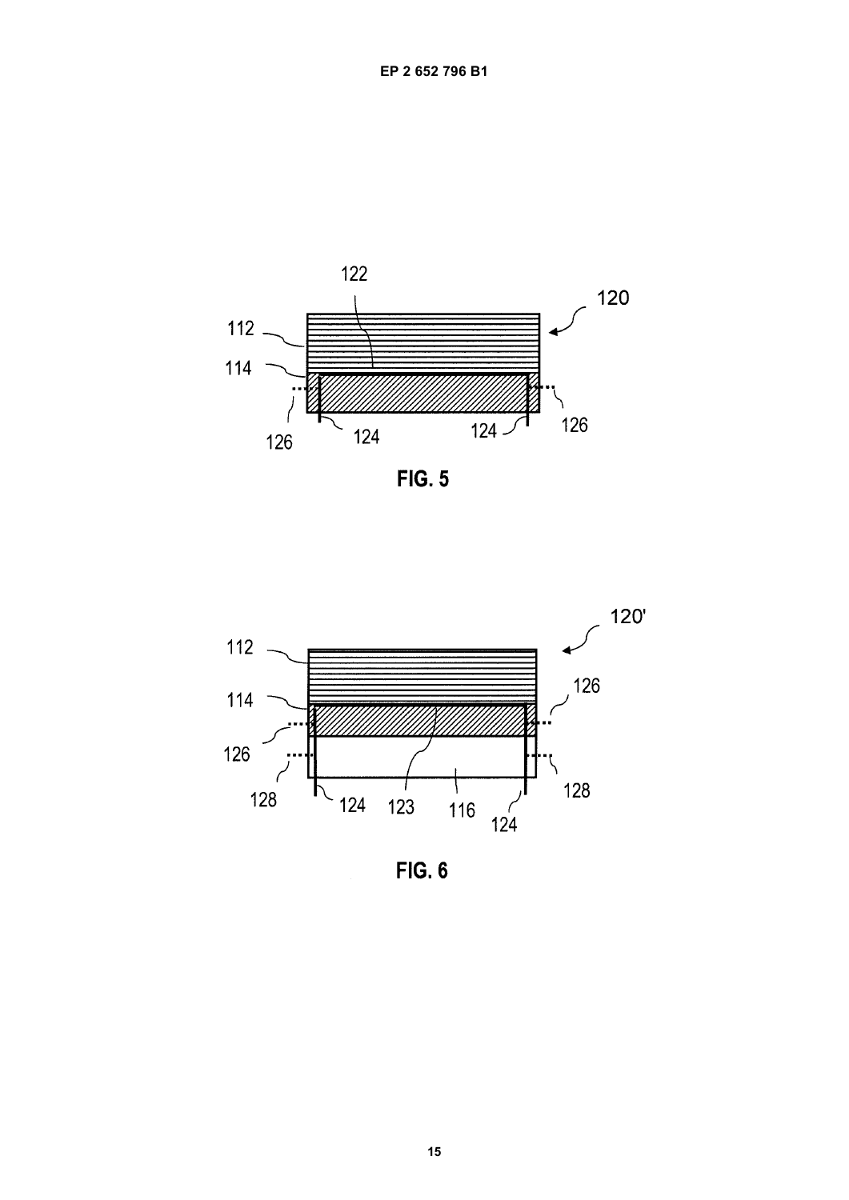

**FIG. 5** 



**FIG. 6**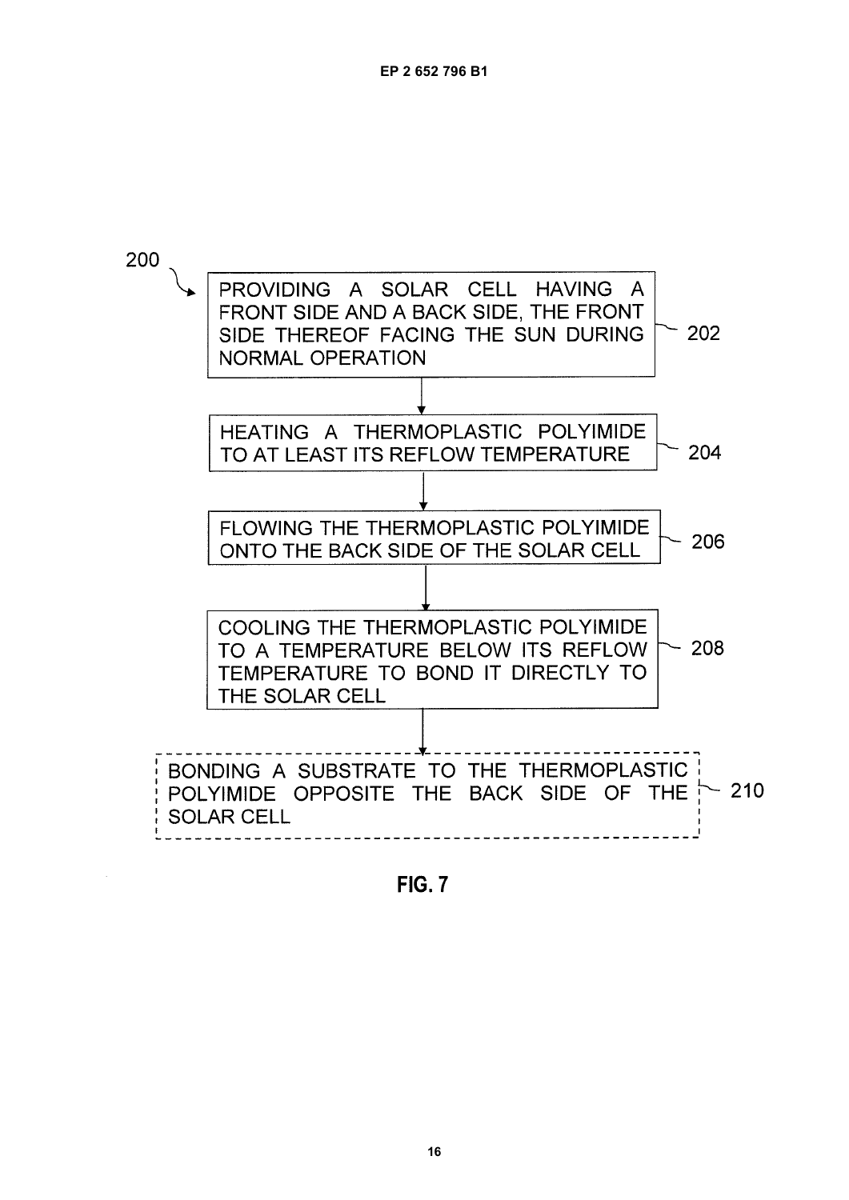

**FIG. 7**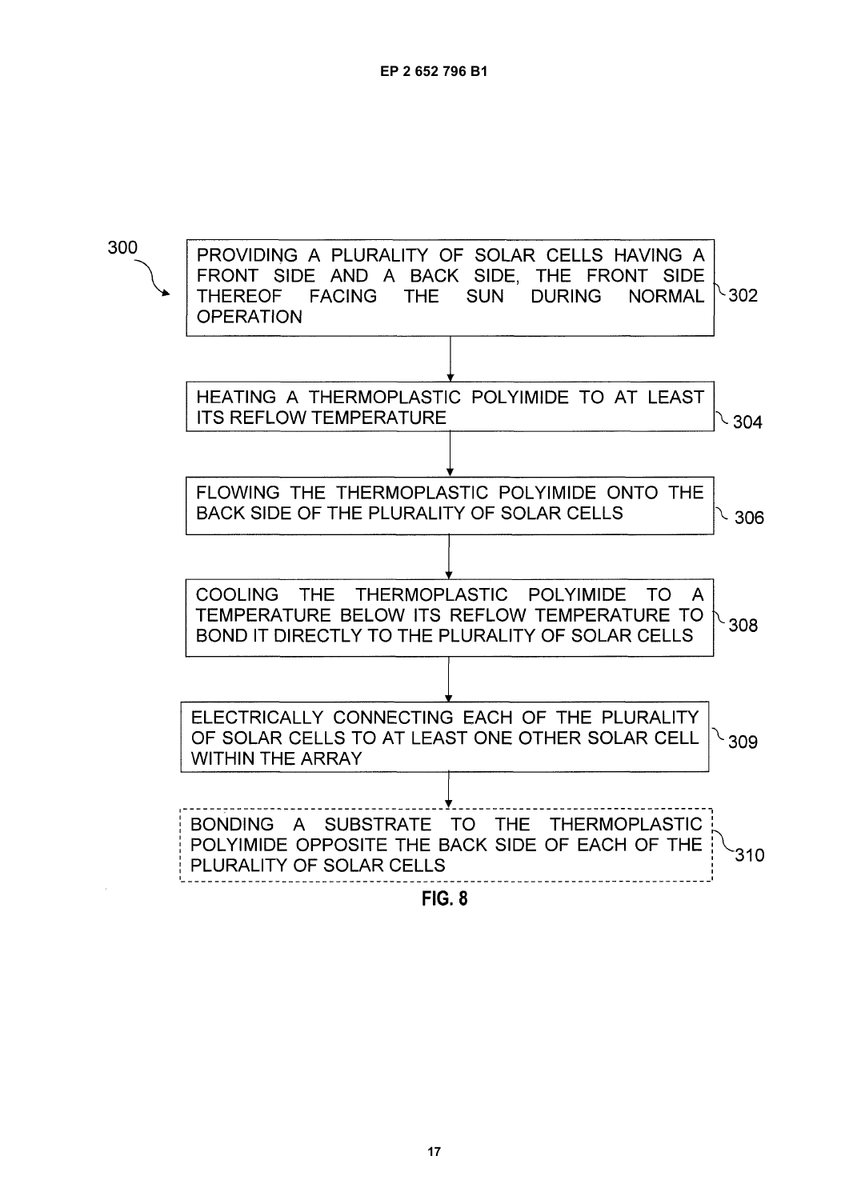